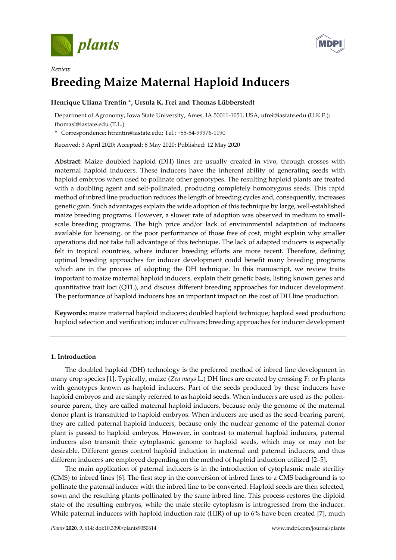

*Review*



# **Breeding Maize Maternal Haploid Inducers**

# **Henrique Uliana Trentin \*, Ursula K. Frei and Thomas Lübberstedt**

Department of Agronomy, Iowa State University, Ames, IA 50011-1051, USA; ufrei@iastate.edu (U.K.F.); thomasl@iastate.edu (T.L.)

**\*** Correspondence: htrentin@iastate.edu; Tel.: +55-54-99976-1190

Received: 3 April 2020; Accepted: 8 May 2020; Published: 12 May 2020

**Abstract:** Maize doubled haploid (DH) lines are usually created in vivo, through crosses with maternal haploid inducers. These inducers have the inherent ability of generating seeds with haploid embryos when used to pollinate other genotypes. The resulting haploid plants are treated with a doubling agent and self-pollinated, producing completely homozygous seeds. This rapid method of inbred line production reduces the length of breeding cycles and, consequently, increases genetic gain. Such advantages explain the wide adoption of this technique by large, well-established maize breeding programs. However, a slower rate of adoption was observed in medium to smallscale breeding programs. The high price and/or lack of environmental adaptation of inducers available for licensing, or the poor performance of those free of cost, might explain why smaller operations did not take full advantage of this technique. The lack of adapted inducers is especially felt in tropical countries, where inducer breeding efforts are more recent. Therefore, defining optimal breeding approaches for inducer development could benefit many breeding programs which are in the process of adopting the DH technique. In this manuscript, we review traits important to maize maternal haploid inducers, explain their genetic basis, listing known genes and quantitative trait loci (QTL), and discuss different breeding approaches for inducer development. The performance of haploid inducers has an important impact on the cost of DH line production.

**Keywords:** maize maternal haploid inducers; doubled haploid technique; haploid seed production; haploid selection and verification; inducer cultivars; breeding approaches for inducer development

## **1. Introduction**

The doubled haploid (DH) technology is the preferred method of inbred line development in many crop species [1]. Typically, maize (*Zea mays* L.) DH lines are created by crossing F<sup>1</sup> or F<sup>2</sup> plants with genotypes known as haploid inducers. Part of the seeds produced by these inducers have haploid embryos and are simply referred to as haploid seeds. When inducers are used as the pollensource parent, they are called maternal haploid inducers, because only the genome of the maternal donor plant is transmitted to haploid embryos. When inducers are used as the seed-bearing parent, they are called paternal haploid inducers, because only the nuclear genome of the paternal donor plant is passed to haploid embryos. However, in contrast to maternal haploid inducers, paternal inducers also transmit their cytoplasmic genome to haploid seeds, which may or may not be desirable. Different genes control haploid induction in maternal and paternal inducers, and thus different inducers are employed depending on the method of haploid induction utilized [2–5].

The main application of paternal inducers is in the introduction of cytoplasmic male sterility (CMS) to inbred lines [6]. The first step in the conversion of inbred lines to a CMS background is to pollinate the paternal inducer with the inbred line to be converted. Haploid seeds are then selected, sown and the resulting plants pollinated by the same inbred line. This process restores the diploid state of the resulting embryos, while the male sterile cytoplasm is introgressed from the inducer. While paternal inducers with haploid induction rate (HIR) of up to 6% have been created [7], much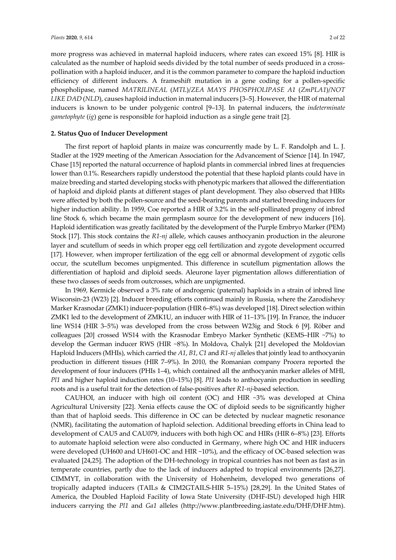more progress was achieved in maternal haploid inducers, where rates can exceed 15% [8]. HIR is calculated as the number of haploid seeds divided by the total number of seeds produced in a crosspollination with a haploid inducer, and it is the common parameter to compare the haploid induction efficiency of different inducers. A frameshift mutation in a gene coding for a pollen-specific phospholipase, named *MATRILINEAL* (*MTL*)/*ZEA MAYS PHOSPHOLIPASE A1* (*ZmPLA1*)/*NOT LIKE DAD* (*NLD*), causes haploid induction in maternal inducers [3–5]. However, the HIR of maternal inducers is known to be under polygenic control [9–13]. In paternal inducers, the *indeterminate gametophyte* (*ig*) gene is responsible for haploid induction as a single gene trait [2].

#### **2. Status Quo of Inducer Development**

The first report of haploid plants in maize was concurrently made by L. F. Randolph and L. J. Stadler at the 1929 meeting of the American Association for the Advancement of Science [14]. In 1947, Chase [15] reported the natural occurrence of haploid plants in commercial inbred lines at frequencies lower than 0.1%. Researchers rapidly understood the potential that these haploid plants could have in maize breeding and started developing stocks with phenotypic markers that allowed the differentiation of haploid and diploid plants at different stages of plant development. They also observed that HIRs were affected by both the pollen-source and the seed-bearing parents and started breeding inducers for higher induction ability. In 1959, Coe reported a HIR of 3.2% in the self-pollinated progeny of inbred line Stock 6, which became the main germplasm source for the development of new inducers [16]. Haploid identification was greatly facilitated by the development of the Purple Embryo Marker (PEM) Stock [17]. This stock contains the *R1-nj* allele, which causes anthocyanin production in the aleurone layer and scutellum of seeds in which proper egg cell fertilization and zygote development occurred [17]. However, when improper fertilization of the egg cell or abnormal development of zygotic cells occur, the scutellum becomes unpigmented. This difference in scutellum pigmentation allows the differentiation of haploid and diploid seeds. Aleurone layer pigmentation allows differentiation of these two classes of seeds from outcrosses, which are unpigmented.

In 1969, Kermicle observed a 3% rate of androgenic (paternal) haploids in a strain of inbred line Wisconsin-23 (W23) [2]. Inducer breeding efforts continued mainly in Russia, where the Zarodishevy Marker Krasnodar (ZMK1) inducer-population (HIR 6–8%) was developed [18]. Direct selection within ZMK1 led to the development of ZMK1U, an inducer with HIR of 11–13% [19]. In France, the inducer line WS14 (HIR 3–5%) was developed from the cross between W23ig and Stock 6 [9]. Röber and colleagues [20] crossed WS14 with the Krasnodar Embryo Marker Synthetic (KEMS–HIR ~7%) to develop the German inducer RWS (HIR ~8%). In Moldova, Chalyk [21] developed the Moldovian Haploid Inducers (MHIs), which carried the *A1*, *B1*, *C1* and *R1-nj* alleles that jointly lead to anthocyanin production in different tissues (HIR 7–9%). In 2010, the Romanian company Procera reported the development of four inducers (PHIs 1–4), which contained all the anthocyanin marker alleles of MHI, *Pl1* and higher haploid induction rates (10–15%) [8]. *Pl1* leads to anthocyanin production in seedling roots and is a useful trait for the detection of false-positives after *R1-nj*-based selection.

CAUHOI, an inducer with high oil content (OC) and HIR ~3% was developed at China Agricultural University [22]. Xenia effects cause the OC of diploid seeds to be significantly higher than that of haploid seeds. This difference in OC can be detected by nuclear magnetic resonance (NMR), facilitating the automation of haploid selection. Additional breeding efforts in China lead to development of CAU5 and CAU079, inducers with both high OC and HIRs (HIR 6–8%) [23]. Efforts to automate haploid selection were also conducted in Germany, where high OC and HIR inducers were developed (UH600 and UH601-OC and HIR ~10%), and the efficacy of OC-based selection was evaluated [24,25]. The adoption of the DH-technology in tropical countries has not been as fast as in temperate countries, partly due to the lack of inducers adapted to tropical environments [26,27]. CIMMYT, in collaboration with the University of Hohenheim, developed two generations of tropically adapted inducers (TAILs & CIM2GTAILS-HIR 5–15%) [28,29]. In the United States of America, the Doubled Haploid Facility of Iowa State University (DHF-ISU) developed high HIR inducers carrying the *Pl1* and *Ga1* alleles (http://www.plantbreeding.iastate.edu/DHF/DHF.htm).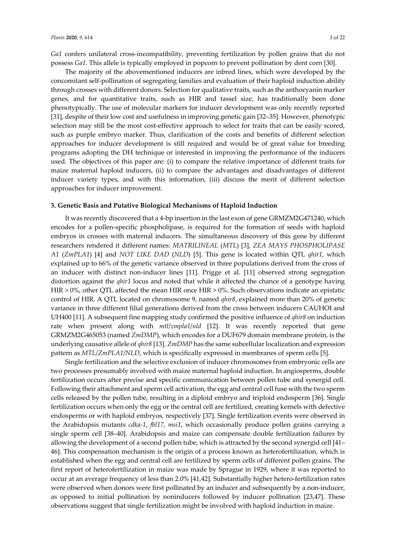*Ga1* confers unilateral cross-incompatibility, preventing fertilization by pollen grains that do not possess *Ga1*. This allele is typically employed in popcorn to prevent pollination by dent corn [30].

The majority of the abovementioned inducers are inbred lines, which were developed by the concomitant self-pollination of segregating families and evaluation of their haploid induction ability through crosses with different donors. Selection for qualitative traits, such as the anthocyanin marker genes, and for quantitative traits, such as HIR and tassel size, has traditionally been done phenotypically. The use of molecular markers for inducer development was only recently reported [31], despite of their low cost and usefulness in improving genetic gain [32–35]. However, phenotypic selection may still be the most cost-effective approach to select for traits that can be easily scored, such as purple embryo marker. Thus, clarification of the costs and benefits of different selection approaches for inducer development is still required and would be of great value for breeding programs adopting the DH technique or interested in improving the performance of the inducers used. The objectives of this paper are: (i) to compare the relative importance of different traits for maize maternal haploid inducers, (ii) to compare the advantages and disadvantages of different inducer variety types, and with this information, (iii) discuss the merit of different selection approaches for inducer improvement.

#### **3. Genetic Basis and Putative Biological Mechanisms of Haploid Induction**

It was recently discovered that a 4-bp insertion in the last exon of gene GRMZM2G471240, which encodes for a pollen-specific phospholipase, is required for the formation of seeds with haploid embryos in crosses with maternal inducers. The simultaneous discovery of this gene by different researchers rendered it different names: *MATRILINEAL* (*MTL*) [3], *ZEA MAYS PHOSPHOLIPASE A1* (*ZmPLA1*) [4] and *NOT LIKE DAD* (*NLD*) [5]. This gene is located within QTL *qhir1*, which explained up to 66% of the genetic variance observed in three populations derived from the cross of an inducer with distinct non-inducer lines [11]. Prigge et al. [11] observed strong segregation distortion against the *qhir1* locus and noted that while it affected the chance of a genotype having  $HIR > 0\%$ , other QTL affected the mean HIR once HIR  $> 0\%$ . Such observations indicate an epistatic control of HIR. A QTL located on chromosome 9, named *qhir8*, explained more than 20% of genetic variance in three different filial generations derived from the cross between inducers CAUHOI and UH400 [11]. A subsequent fine mapping study confirmed the positive influence of *qhir8* on induction rate when present along with *mtl*/*zmpla1*/*nld* [12]. It was recently reported that gene GRMZM2G465053 (named *ZmDMP*), which encodes for a DUF679 domain membrane protein, is the underlying causative allele of *qhir8* [13]. *ZmDMP* has the same subcellular localization and expression pattern as *MTL*/*ZmPLA1*/*NLD*, which is specifically expressed in membranes of sperm cells [5].

Single fertilization and the selective exclusion of inducer chromosomes from embryonic cells are two processes presumably involved with maize maternal haploid induction. In angiosperms, double fertilization occurs after precise and specific communication between pollen tube and synergid cell. Following their attachment and sperm cell activation, the egg and central cell fuse with the two sperm cells released by the pollen tube, resulting in a diploid embryo and triploid endosperm [36]. Single fertilization occurs when only the egg or the central cell are fertilized, creating kernels with defective endosperms or with haploid embryos, respectively [37]. Single fertilization events were observed in the Arabidopsis mutants *cdka-1*, *fbl17*, *msi1*, which occasionally produce pollen grains carrying a single sperm cell [38–40]. Arabidopsis and maize can compensate double fertilization failures by allowing the development of a second pollen tube, which is attracted by the second synergid cell [41– 46]. This compensation mechanism is the origin of a process known as heterofertilization, which is established when the egg and central cell are fertilized by sperm cells of different pollen grains. The first report of heterofertilization in maize was made by Sprague in 1929, where it was reported to occur at an average frequency of less than 2.0% [41,42]. Substantially higher hetero-fertilization rates were observed when donors were first pollinated by an inducer and subsequently by a non-inducer, as opposed to initial pollination by noninducers followed by inducer pollination [23,47]. These observations suggest that single fertilization might be involved with haploid induction in maize.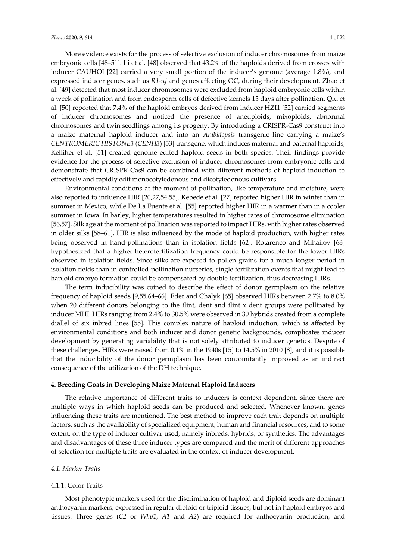More evidence exists for the process of selective exclusion of inducer chromosomes from maize embryonic cells [48–51]. Li et al. [48] observed that 43.2% of the haploids derived from crosses with inducer CAUHOI [22] carried a very small portion of the inducer's genome (average 1.8%), and expressed inducer genes, such as *R1-nj* and genes affecting OC, during their development. Zhao et al. [49] detected that most inducer chromosomes were excluded from haploid embryonic cells within a week of pollination and from endosperm cells of defective kernels 15 days after pollination. Qiu et al. [50] reported that 7.4% of the haploid embryos derived from inducer HZI1 [52] carried segments of inducer chromosomes and noticed the presence of aneuploids, mixoploids, abnormal chromosomes and twin seedlings among its progeny. By introducing a CRISPR-Cas9 construct into a maize maternal haploid inducer and into an *Arabidopsis* transgenic line carrying a maize's *CENTROMERIC HISTONE3* (*CENH3*) [53] transgene, which induces maternal and paternal haploids, Kelliher et al. [51] created genome edited haploid seeds in both species. Their findings provide evidence for the process of selective exclusion of inducer chromosomes from embryonic cells and demonstrate that CRISPR-Cas9 can be combined with different methods of haploid induction to effectively and rapidly edit monocotyledonous and dicotyledonous cultivars.

Environmental conditions at the moment of pollination, like temperature and moisture, were also reported to influence HIR [20,27,54,55]. Kebede et al. [27] reported higher HIR in winter than in summer in Mexico, while De La Fuente et al. [55] reported higher HIR in a warmer than in a cooler summer in Iowa. In barley, higher temperatures resulted in higher rates of chromosome elimination [56,57]. Silk age at the moment of pollination was reported to impact HIRs, with higher rates observed in older silks [58–61]. HIR is also influenced by the mode of haploid production, with higher rates being observed in hand-pollinations than in isolation fields [62]. Rotarenco and Mihailov [63] hypothesized that a higher heterofertilization frequency could be responsible for the lower HIRs observed in isolation fields. Since silks are exposed to pollen grains for a much longer period in isolation fields than in controlled-pollination nurseries, single fertilization events that might lead to haploid embryo formation could be compensated by double fertilization, thus decreasing HIRs.

The term inducibility was coined to describe the effect of donor germplasm on the relative frequency of haploid seeds [9,55,64–66]. Eder and Chalyk [65] observed HIRs between 2.7% to 8.0% when 20 different donors belonging to the flint, dent and flint x dent groups were pollinated by inducer MHI. HIRs ranging from 2.4% to 30.5% were observed in 30 hybrids created from a complete diallel of six inbred lines [55]. This complex nature of haploid induction, which is affected by environmental conditions and both inducer and donor genetic backgrounds, complicates inducer development by generating variability that is not solely attributed to inducer genetics. Despite of these challenges, HIRs were raised from 0.1% in the 1940s [15] to 14.5% in 2010 [8], and it is possible that the inducibility of the donor germplasm has been concomitantly improved as an indirect consequence of the utilization of the DH technique.

#### **4. Breeding Goals in Developing Maize Maternal Haploid Inducers**

The relative importance of different traits to inducers is context dependent, since there are multiple ways in which haploid seeds can be produced and selected. Whenever known, genes influencing these traits are mentioned. The best method to improve each trait depends on multiple factors, such as the availability of specialized equipment, human and financial resources, and to some extent, on the type of inducer cultivar used, namely inbreds, hybrids, or synthetics. The advantages and disadvantages of these three inducer types are compared and the merit of different approaches of selection for multiple traits are evaluated in the context of inducer development.

# *4.1. Marker Traits*

## 4.1.1. Color Traits

Most phenotypic markers used for the discrimination of haploid and diploid seeds are dominant anthocyanin markers, expressed in regular diploid or triploid tissues, but not in haploid embryos and tissues. Three genes (*C2* or *Whp1*, *A1* and *A2*) are required for anthocyanin production, and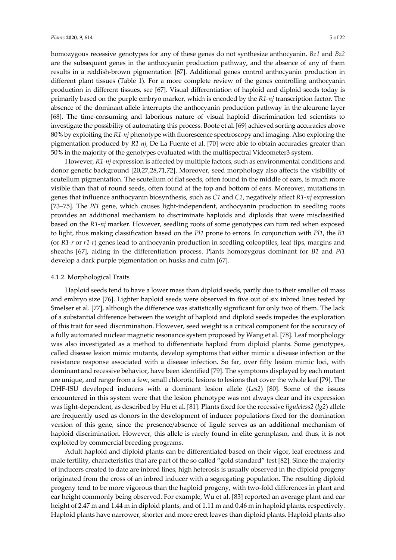homozygous recessive genotypes for any of these genes do not synthesize anthocyanin. *Bz1* and *Bz2* are the subsequent genes in the anthocyanin production pathway, and the absence of any of them results in a reddish-brown pigmentation [67]. Additional genes control anthocyanin production in different plant tissues (Table 1). For a more complete review of the genes controlling anthocyanin production in different tissues, see [67]. Visual differentiation of haploid and diploid seeds today is primarily based on the purple embryo marker, which is encoded by the *R1-nj* transcription factor. The absence of the dominant allele interrupts the anthocyanin production pathway in the aleurone layer [68]. The time-consuming and laborious nature of visual haploid discrimination led scientists to investigate the possibility of automating this process. Boote et al. [69] achieved sorting accuracies above 80% by exploiting the *R1-nj* phenotype with fluorescence spectroscopy and imaging. Also exploring the pigmentation produced by *R1-nj*, De La Fuente et al. [70] were able to obtain accuracies greater than 50% in the majority of the genotypes evaluated with the multispectral Videometer3 system.

However, *R1-nj* expression is affected by multiple factors, such as environmental conditions and donor genetic background [20,27,28,71,72]. Moreover, seed morphology also affects the visibility of scutellum pigmentation. The scutellum of flat seeds, often found in the middle of ears, is much more visible than that of round seeds, often found at the top and bottom of ears. Moreover, mutations in genes that influence anthocyanin biosynthesis, such as *C1* and *C2*, negatively affect *R1-nj* expression [73–75]. The *Pl1* gene, which causes light-independent, anthocyanin production in seedling roots provides an additional mechanism to discriminate haploids and diploids that were misclassified based on the *R1-nj* marker. However, seedling roots of some genotypes can turn red when exposed to light, thus making classification based on the *Pl1* prone to errors. In conjunction with *Pl1*, the *B1* (or *R1-r* or *r1-r*) genes lead to anthocyanin production in seedling coleoptiles, leaf tips, margins and sheaths [67], aiding in the differentiation process. Plants homozygous dominant for *B1* and *Pl1* develop a dark purple pigmentation on husks and culm [67].

#### 4.1.2. Morphological Traits

Haploid seeds tend to have a lower mass than diploid seeds, partly due to their smaller oil mass and embryo size [76]. Lighter haploid seeds were observed in five out of six inbred lines tested by Smelser et al. [77], although the difference was statistically significant for only two of them. The lack of a substantial difference between the weight of haploid and diploid seeds impedes the exploration of this trait for seed discrimination. However, seed weight is a critical component for the accuracy of a fully automated nuclear magnetic resonance system proposed by Wang et al. [78]. Leaf morphology was also investigated as a method to differentiate haploid from diploid plants. Some genotypes, called disease lesion mimic mutants, develop symptoms that either mimic a disease infection or the resistance response associated with a disease infection. So far, over fifty lesion mimic loci, with dominant and recessive behavior, have been identified [79]. The symptoms displayed by each mutant are unique, and range from a few, small chlorotic lesions to lesions that cover the whole leaf [79]. The DHF-ISU developed inducers with a dominant lesion allele (*Les2*) [80]. Some of the issues encountered in this system were that the lesion phenotype was not always clear and its expression was light-dependent, as described by Hu et al. [81]. Plants fixed for the recessive *liguleless2* (*lg2*) allele are frequently used as donors in the development of inducer populations fixed for the domination version of this gene, since the presence/absence of ligule serves as an additional mechanism of haploid discrimination. However, this allele is rarely found in elite germplasm, and thus, it is not exploited by commercial breeding programs.

Adult haploid and diploid plants can be differentiated based on their vigor, leaf erectness and male fertility, characteristics that are part of the so called "gold standard" test [82]. Since the majority of inducers created to date are inbred lines, high heterosis is usually observed in the diploid progeny originated from the cross of an inbred inducer with a segregating population. The resulting diploid progeny tend to be more vigorous than the haploid progeny, with two-fold differences in plant and ear height commonly being observed. For example, Wu et al. [83] reported an average plant and ear height of 2.47 m and 1.44 m in diploid plants, and of 1.11 m and 0.46 m in haploid plants, respectively. Haploid plants have narrower, shorter and more erect leaves than diploid plants. Haploid plants also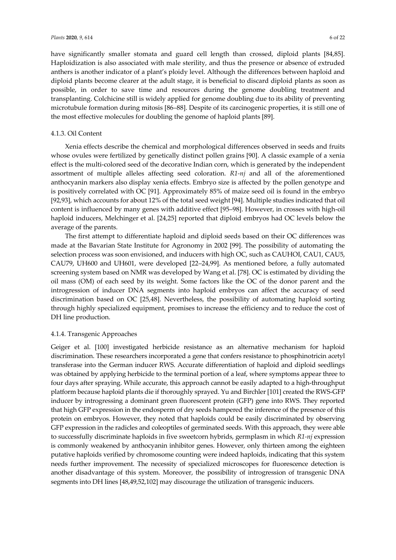have significantly smaller stomata and guard cell length than crossed, diploid plants [84,85]. Haploidization is also associated with male sterility, and thus the presence or absence of extruded anthers is another indicator of a plant's ploidy level. Although the differences between haploid and diploid plants become clearer at the adult stage, it is beneficial to discard diploid plants as soon as possible, in order to save time and resources during the genome doubling treatment and transplanting. Colchicine still is widely applied for genome doubling due to its ability of preventing microtubule formation during mitosis [86–88]. Despite of its carcinogenic properties, it is still one of the most effective molecules for doubling the genome of haploid plants [89].

#### 4.1.3. Oil Content

Xenia effects describe the chemical and morphological differences observed in seeds and fruits whose ovules were fertilized by genetically distinct pollen grains [90]. A classic example of a xenia effect is the multi-colored seed of the decorative Indian corn, which is generated by the independent assortment of multiple alleles affecting seed coloration. *R1-nj* and all of the aforementioned anthocyanin markers also display xenia effects. Embryo size is affected by the pollen genotype and is positively correlated with OC [91]. Approximately 85% of maize seed oil is found in the embryo [92,93], which accounts for about 12% of the total seed weight [94]. Multiple studies indicated that oil content is influenced by many genes with additive effect [95–98]. However, in crosses with high-oil haploid inducers, Melchinger et al. [24,25] reported that diploid embryos had OC levels below the average of the parents.

The first attempt to differentiate haploid and diploid seeds based on their OC differences was made at the Bavarian State Institute for Agronomy in 2002 [99]. The possibility of automating the selection process was soon envisioned, and inducers with high OC, such as CAUHOI, CAU1, CAU5, CAU79, UH600 and UH601, were developed [22–24,99]. As mentioned before, a fully automated screening system based on NMR was developed by Wang et al. [78]. OC is estimated by dividing the oil mass (OM) of each seed by its weight. Some factors like the OC of the donor parent and the introgression of inducer DNA segments into haploid embryos can affect the accuracy of seed discrimination based on OC [25,48]. Nevertheless, the possibility of automating haploid sorting through highly specialized equipment, promises to increase the efficiency and to reduce the cost of DH line production.

### 4.1.4. Transgenic Approaches

Geiger et al. [100] investigated herbicide resistance as an alternative mechanism for haploid discrimination. These researchers incorporated a gene that confers resistance to phosphinotricin acetyl transferase into the German inducer RWS. Accurate differentiation of haploid and diploid seedlings was obtained by applying herbicide to the terminal portion of a leaf, where symptoms appear three to four days after spraying. While accurate, this approach cannot be easily adapted to a high-throughput platform because haploid plants die if thoroughly sprayed. Yu and Birchler [101] created the RWS-GFP inducer by introgressing a dominant green fluorescent protein (GFP) gene into RWS. They reported that high GFP expression in the endosperm of dry seeds hampered the inference of the presence of this protein on embryos. However, they noted that haploids could be easily discriminated by observing GFP expression in the radicles and coleoptiles of germinated seeds. With this approach, they were able to successfully discriminate haploids in five sweetcorn hybrids, germplasm in which *R1-nj* expression is commonly weakened by anthocyanin inhibitor genes. However, only thirteen among the eighteen putative haploids verified by chromosome counting were indeed haploids, indicating that this system needs further improvement. The necessity of specialized microscopes for fluorescence detection is another disadvantage of this system. Moreover, the possibility of introgression of transgenic DNA segments into DH lines [48,49,52,102] may discourage the utilization of transgenic inducers.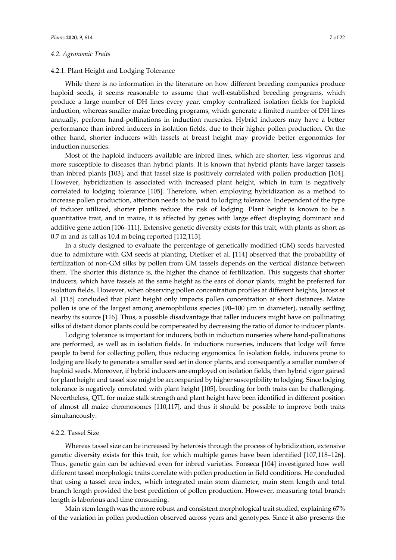#### *4.2. Agronomic Traits*

## 4.2.1. Plant Height and Lodging Tolerance

While there is no information in the literature on how different breeding companies produce haploid seeds, it seems reasonable to assume that well-established breeding programs, which produce a large number of DH lines every year, employ centralized isolation fields for haploid induction, whereas smaller maize breeding programs, which generate a limited number of DH lines annually, perform hand-pollinations in induction nurseries. Hybrid inducers may have a better performance than inbred inducers in isolation fields, due to their higher pollen production. On the other hand, shorter inducers with tassels at breast height may provide better ergonomics for induction nurseries.

Most of the haploid inducers available are inbred lines, which are shorter, less vigorous and more susceptible to diseases than hybrid plants. It is known that hybrid plants have larger tassels than inbred plants [103], and that tassel size is positively correlated with pollen production [104]. However, hybridization is associated with increased plant height, which in turn is negatively correlated to lodging tolerance [105]. Therefore, when employing hybridization as a method to increase pollen production, attention needs to be paid to lodging tolerance. Independent of the type of inducer utilized, shorter plants reduce the risk of lodging. Plant height is known to be a quantitative trait, and in maize, it is affected by genes with large effect displaying dominant and additive gene action [106–111]. Extensive genetic diversity exists for this trait, with plants as short as 0.7 m and as tall as 10.4 m being reported [112,113].

In a study designed to evaluate the percentage of genetically modified (GM) seeds harvested due to admixture with GM seeds at planting, Dietiker et al. [114] observed that the probability of fertilization of non-GM silks by pollen from GM tassels depends on the vertical distance between them. The shorter this distance is, the higher the chance of fertilization. This suggests that shorter inducers, which have tassels at the same height as the ears of donor plants, might be preferred for isolation fields. However, when observing pollen concentration profiles at different heights, Jarosz et al. [115] concluded that plant height only impacts pollen concentration at short distances. Maize pollen is one of the largest among anemophilous species (90–100 µm in diameter), usually settling nearby its source [116]. Thus, a possible disadvantage that taller inducers might have on pollinating silks of distant donor plants could be compensated by decreasing the ratio of donor to inducer plants.

Lodging tolerance is important for inducers, both in induction nurseries where hand-pollinations are performed, as well as in isolation fields. In inductions nurseries, inducers that lodge will force people to bend for collecting pollen, thus reducing ergonomics. In isolation fields, inducers prone to lodging are likely to generate a smaller seed set in donor plants, and consequently a smaller number of haploid seeds. Moreover, if hybrid inducers are employed on isolation fields, then hybrid vigor gained for plant height and tassel size might be accompanied by higher susceptibility to lodging. Since lodging tolerance is negatively correlated with plant height [105], breeding for both traits can be challenging. Nevertheless, QTL for maize stalk strength and plant height have been identified in different position of almost all maize chromosomes [110,117], and thus it should be possible to improve both traits simultaneously.

#### 4.2.2. Tassel Size

Whereas tassel size can be increased by heterosis through the process of hybridization, extensive genetic diversity exists for this trait, for which multiple genes have been identified [107,118–126]. Thus, genetic gain can be achieved even for inbred varieties. Fonseca [104] investigated how well different tassel morphologic traits correlate with pollen production in field conditions. He concluded that using a tassel area index, which integrated main stem diameter, main stem length and total branch length provided the best prediction of pollen production. However, measuring total branch length is laborious and time consuming.

Main stem length was the more robust and consistent morphological trait studied, explaining 67% of the variation in pollen production observed across years and genotypes. Since it also presents the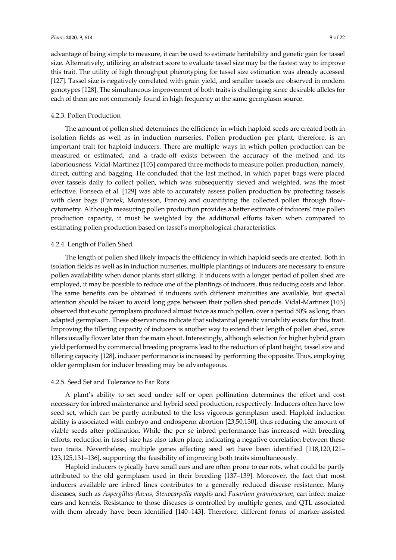advantage of being simple to measure, it can be used to estimate heritability and genetic gain for tassel size. Alternatively, utilizing an abstract score to evaluate tassel size may be the fastest way to improve this trait. The utility of high throughput phenotyping for tassel size estimation was already accessed [127]. Tassel size is negatively correlated with grain yield, and smaller tassels are observed in modern genotypes [128]. The simultaneous improvement of both traits is challenging since desirable alleles for each of them are not commonly found in high frequency at the same germplasm source.

#### 4.2.3. Pollen Production

The amount of pollen shed determines the efficiency in which haploid seeds are created both in isolation fields as well as in induction nurseries. Pollen production per plant, therefore, is an important trait for haploid inducers. There are multiple ways in which pollen production can be measured or estimated, and a trade-off exists between the accuracy of the method and its laboriousness. Vidal-Martinez [103] compared three methods to measure pollen production, namely, direct, cutting and bagging. He concluded that the last method, in which paper bags were placed over tassels daily to collect pollen, which was subsequently sieved and weighted, was the most effective. Fonseca et al. [129] was able to accurately assess pollen production by protecting tassels with clear bags (Pantek, Montesson, France) and quantifying the collected pollen through flowcytometry. Although measuring pollen production provides a better estimate of inducers' true pollen production capacity, it must be weighted by the additional efforts taken when compared to estimating pollen production based on tassel's morphological characteristics.

#### 4.2.4. Length of Pollen Shed

The length of pollen shed likely impacts the efficiency in which haploid seeds are created. Both in isolation fields as well as in induction nurseries, multiple plantings of inducers are necessary to ensure pollen availability when donor plants start silking. If inducers with a longer period of pollen shed are employed, it may be possible to reduce one of the plantings of inducers, thus reducing costs and labor. The same benefits can be obtained if inducers with different maturities are available, but special attention should be taken to avoid long gaps between their pollen shed periods. Vidal-Martinez [103] observed that exotic germplasm produced almost twice as much pollen, over a period 50% as long, than adapted germplasm. These observations indicate that substantial genetic variability exists for this trait. Improving the tillering capacity of inducers is another way to extend their length of pollen shed, since tillers usually flower later than the main shoot. Interestingly, although selection for higher hybrid grain yield performed by commercial breeding programs lead to the reduction of plant height, tassel size and tillering capacity [128], inducer performance is increased by performing the opposite. Thus, employing older germplasm for inducer breeding may be advantageous.

#### 4.2.5. Seed Set and Tolerance to Ear Rots

A plant's ability to set seed under self or open pollination determines the effort and cost necessary for inbred maintenance and hybrid seed production, respectively. Inducers often have low seed set, which can be partly attributed to the less vigorous germplasm used. Haploid induction ability is associated with embryo and endosperm abortion [23,50,130], thus reducing the amount of viable seeds after pollination. While the per se inbred performance has increased with breeding efforts, reduction in tassel size has also taken place, indicating a negative correlation between these two traits. Nevertheless, multiple genes affecting seed set have been identified [118,120,121– 123,125,131–136], supporting the feasibility of improving both traits simultaneously.

Haploid inducers typically have small ears and are often prone to ear rots, what could be partly attributed to the old germplasm used in their breeding [137–139]. Moreover, the fact that most inducers available are inbred lines contributes to a generally reduced disease resistance. Many diseases, such as *Aspergillus flavus*, *Stenocarpella maydis* and *Fusarium graminearum*, can infect maize ears and kernels. Resistance to those diseases is controlled by multiple genes, and QTL associated with them already have been identified [140–143]. Therefore, different forms of marker-assisted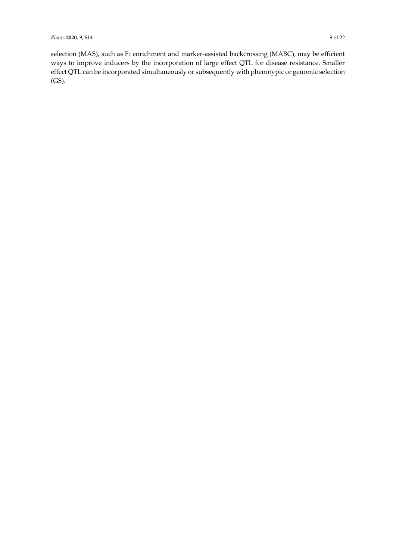selection (MAS), such as F<sub>2</sub> enrichment and marker-assisted backcrossing (MABC), may be efficient ways to improve inducers by the incorporation of large effect QTL for disease resistance. Smaller effect QTL can be incorporated simultaneously or subsequently with phenotypic or genomic selection (GS).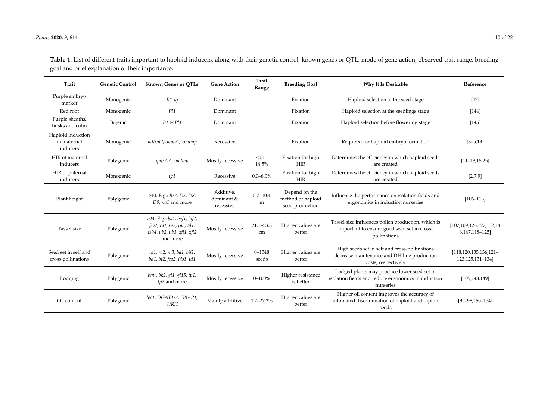| Trait                                        | <b>Genetic Control</b> | <b>Known Genes or OTLs</b>                                                                                      | <b>Gene Action</b>                   | Trait<br>Range      | <b>Breeding Goal</b>                                  | <b>Why It Is Desirable</b>                                                                                          | Reference                                            |
|----------------------------------------------|------------------------|-----------------------------------------------------------------------------------------------------------------|--------------------------------------|---------------------|-------------------------------------------------------|---------------------------------------------------------------------------------------------------------------------|------------------------------------------------------|
| Purple embryo<br>marker                      | Monogenic              | $R1-ni$                                                                                                         | Dominant                             |                     | Fixation                                              | Haploid selection at the seed stage                                                                                 | $[17]$                                               |
| Red root                                     | Monogenic              | Pl1                                                                                                             | Dominant                             |                     | Fixation                                              | Haploid selection at the seedlings stage                                                                            | [144]                                                |
| Purple sheaths,<br>husks and culm            | Bigenic                | $B1 \& P11$                                                                                                     | Dominant                             |                     | Fixation                                              | Haploid selection before flowering stage                                                                            | [145]                                                |
| Haploid induction<br>in maternal<br>inducers | Monogenic              | mtl/nld/zmpla1, zmdmp                                                                                           | Recessive                            |                     | Fixation                                              | Required for haploid embryo formation                                                                               | $[3 - 5, 13]$                                        |
| HIR of maternal<br>inducers                  | Polygenic              | qhir2-7, zmdmp                                                                                                  | Mostly recessive                     | $< 0.1 -$<br>14.5%  | Fixation for high<br><b>HIR</b>                       | Determines the efficiency in which haploid seeds<br>are created                                                     | $[11-13, 15, 25]$                                    |
| HIR of paternal<br>inducers                  | Monogenic              | ig1                                                                                                             | Recessive                            | $0.0 - 6.0\%$       | Fixation for high<br><b>HIR</b>                       | Determines the efficiency in which haploid seeds<br>are created                                                     | [2,7,9]                                              |
| Plant height                                 | Polygenic              | $>40.$ E.g.: $Br2$ , D3, D8,<br>D9, na1 and more                                                                | Additive.<br>dominant &<br>recessive | $0.7 - 10.4$<br>m   | Depend on the<br>method of haploid<br>seed production | Influence the performance on isolation fields and<br>ergonomics in induction nurseries                              | $[106 - 113]$                                        |
| Tassel size                                  | Polygenic              | >24. E.g.: ba1, ba1, bif2,<br>fea2, ra1, ra2, ra3, td1,<br>$tsh4$ , $ub2$ , $ub3$ , $zfl1$ , $zfl2$<br>and more | Mostly recessive                     | $21.1 - 53.8$<br>cm | Higher values are<br>better                           | Tassel size influences pollen production, which is<br>important to ensure good seed set in cross-<br>pollinations   | [107,109,126,127,132,14<br>6,147,118-1251            |
| Seed set in self and<br>cross-pollinations   | Polygenic              | ra1, ra2, ra3, ba1, bif2,<br>bd1, bt2, fea2, ids1, td1                                                          | Mostly recessive                     | $0 - 1348$<br>seeds | Higher values are<br>better                           | High seeds set in self and cross-pollinations<br>decrease maintenance and DH line production<br>costs, respectively | $[118, 120, 135, 136, 121 -$<br>123, 125, 131 - 134] |
| Lodging                                      | Polygenic              | bmr, bk2, gl1, gl15, tp1,<br>tp2 and more                                                                       | Mostly recessive                     | $0 - 100%$          | Higher resistance<br>is better                        | Lodged plants may produce lower seed set in<br>isolation fields and reduce ergonomics in induction<br>nurseries     | [105, 148, 149]                                      |
| Oil content                                  | Polygenic              | lec1, DGAT1-2, OBAP1,<br>WR11                                                                                   | Mainly additive                      | 1.7-27.2%           | Higher values are<br>better                           | Higher oil content improves the accuracy of<br>automated discrimination of haploid and diploid<br>seeds             | $[95 - 98, 150 - 154]$                               |

Table 1. List of different traits important to haploid inducers, along with their genetic control, known genes or QTL, mode of gene action, observed trait range, breeding goal and brief explanation of their importance.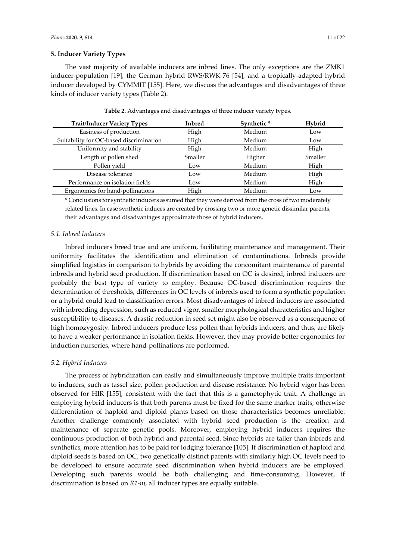#### **5. Inducer Variety Types**

The vast majority of available inducers are inbred lines. The only exceptions are the ZMK1 inducer-population [19], the German hybrid RWS/RWK-76 [54], and a tropically-adapted hybrid inducer developed by CYMMIT [155]. Here, we discuss the advantages and disadvantages of three kinds of inducer variety types (Table 2).

| <b>Trait/Inducer Variety Types</b>      | Inbred  | Synthetic* | Hybrid  |
|-----------------------------------------|---------|------------|---------|
| Easiness of production                  | High    | Medium     | Low     |
| Suitability for OC-based discrimination | High    | Medium     | Low     |
| Uniformity and stability                | High    | Medium     | High    |
| Length of pollen shed                   | Smaller | Higher     | Smaller |
| Pollen vield                            | Low     | Medium     | High    |
| Disease tolerance                       | Low     | Medium     | High    |
| Performance on isolation fields         | Low     | Medium     | High    |
| Ergonomics for hand-pollinations        | High    | Medium     | Low     |

**Table 2.** Advantages and disadvantages of three inducer variety types.

\* Conclusions for synthetic inducers assumed that they were derived from the cross of two moderately related lines. In case synthetic induces are created by crossing two or more genetic dissimilar parents, their advantages and disadvantages approximate those of hybrid inducers.

#### *5.1. Inbred Inducers*

Inbred inducers breed true and are uniform, facilitating maintenance and management. Their uniformity facilitates the identification and elimination of contaminations. Inbreds provide simplified logistics in comparison to hybrids by avoiding the concomitant maintenance of parental inbreds and hybrid seed production. If discrimination based on OC is desired, inbred inducers are probably the best type of variety to employ. Because OC-based discrimination requires the determination of thresholds, differences in OC levels of inbreds used to form a synthetic population or a hybrid could lead to classification errors. Most disadvantages of inbred inducers are associated with inbreeding depression, such as reduced vigor, smaller morphological characteristics and higher susceptibility to diseases. A drastic reduction in seed set might also be observed as a consequence of high homozygosity. Inbred inducers produce less pollen than hybrids inducers, and thus, are likely to have a weaker performance in isolation fields. However, they may provide better ergonomics for induction nurseries, where hand-pollinations are performed.

#### *5.2. Hybrid Inducers*

The process of hybridization can easily and simultaneously improve multiple traits important to inducers, such as tassel size, pollen production and disease resistance. No hybrid vigor has been observed for HIR [155], consistent with the fact that this is a gametophytic trait. A challenge in employing hybrid inducers is that both parents must be fixed for the same marker traits, otherwise differentiation of haploid and diploid plants based on those characteristics becomes unreliable. Another challenge commonly associated with hybrid seed production is the creation and maintenance of separate genetic pools. Moreover, employing hybrid inducers requires the continuous production of both hybrid and parental seed. Since hybrids are taller than inbreds and synthetics, more attention has to be paid for lodging tolerance [105]. If discrimination of haploid and diploid seeds is based on OC, two genetically distinct parents with similarly high OC levels need to be developed to ensure accurate seed discrimination when hybrid inducers are be employed. Developing such parents would be both challenging and time-consuming. However, if discrimination is based on *R1-nj*, all inducer types are equally suitable.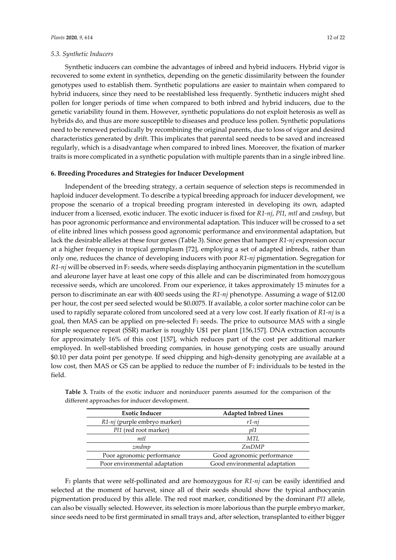#### *5.3. Synthetic Inducers*

Synthetic inducers can combine the advantages of inbred and hybrid inducers. Hybrid vigor is recovered to some extent in synthetics, depending on the genetic dissimilarity between the founder genotypes used to establish them. Synthetic populations are easier to maintain when compared to hybrid inducers, since they need to be reestablished less frequently. Synthetic inducers might shed pollen for longer periods of time when compared to both inbred and hybrid inducers, due to the genetic variability found in them. However, synthetic populations do not exploit heterosis as well as hybrids do, and thus are more susceptible to diseases and produce less pollen. Synthetic populations need to be renewed periodically by recombining the original parents, due to loss of vigor and desired characteristics generated by drift. This implicates that parental seed needs to be saved and increased regularly, which is a disadvantage when compared to inbred lines. Moreover, the fixation of marker traits is more complicated in a synthetic population with multiple parents than in a single inbred line.

#### **6. Breeding Procedures and Strategies for Inducer Development**

Independent of the breeding strategy, a certain sequence of selection steps is recommended in haploid inducer development. To describe a typical breeding approach for inducer development, we propose the scenario of a tropical breeding program interested in developing its own, adapted inducer from a licensed, exotic inducer. The exotic inducer is fixed for *R1-nj*, *Pl1*, *mtl* and *zmdmp*, but has poor agronomic performance and environmental adaptation. This inducer will be crossed to a set of elite inbred lines which possess good agronomic performance and environmental adaptation, but lack the desirable alleles at these four genes (Table 3). Since genes that hamper *R1-nj* expression occur at a higher frequency in tropical germplasm [72], employing a set of adapted inbreds, rather than only one, reduces the chance of developing inducers with poor *R1-nj* pigmentation. Segregation for *R1-nj* will be observed in F<sub>2</sub> seeds, where seeds displaying anthocyanin pigmentation in the scutellum and aleurone layer have at least one copy of this allele and can be discriminated from homozygous recessive seeds, which are uncolored. From our experience, it takes approximately 15 minutes for a person to discriminate an ear with 400 seeds using the *R1-nj* phenotype. Assuming a wage of \$12.00 per hour, the cost per seed selected would be \$0.0075. If available, a color sorter machine color can be used to rapidly separate colored from uncolored seed at a very low cost. If early fixation of *R1-nj* is a goal, then MAS can be applied on pre-selected F<sup>2</sup> seeds. The price to outsource MAS with a single simple sequence repeat (SSR) marker is roughly U\$1 per plant [156,157]. DNA extraction accounts for approximately 16% of this cost [157], which reduces part of the cost per additional marker employed. In well-stablished breeding companies, in house genotyping costs are usually around \$0.10 per data point per genotype. If seed chipping and high-density genotyping are available at a low cost, then MAS or GS can be applied to reduce the number of  $F_2$  individuals to be tested in the field.

| <b>Exotic Inducer</b>         | <b>Adapted Inbred Lines</b>   |  |
|-------------------------------|-------------------------------|--|
| R1-nj (purple embryo marker)  | $r1-ni$                       |  |
| Pl1 (red root marker)         | pl1                           |  |
| mtl                           | MTL                           |  |
| zmdmp                         | ZmDMP                         |  |
| Poor agronomic performance    | Good agronomic performance    |  |
| Poor environmental adaptation | Good environmental adaptation |  |

**Table 3.** Traits of the exotic inducer and noninducer parents assumed for the comparison of the different approaches for inducer development.

F<sup>2</sup> plants that were self-pollinated and are homozygous for *R1-nj* can be easily identified and selected at the moment of harvest, since all of their seeds should show the typical anthocyanin pigmentation produced by this allele. The red root marker, conditioned by the dominant *Pl1* allele, can also be visually selected. However, its selection is more laborious than the purple embryo marker, since seeds need to be first germinated in small trays and, after selection, transplanted to either bigger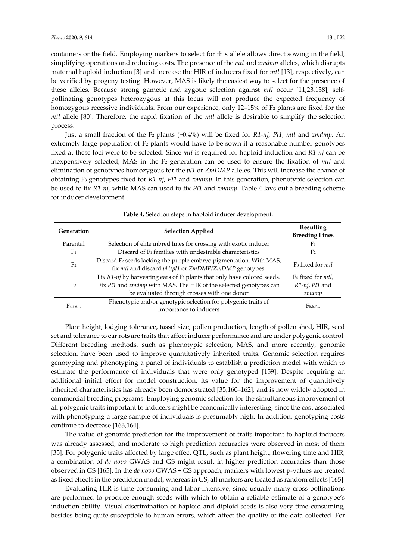containers or the field. Employing markers to select for this allele allows direct sowing in the field, simplifying operations and reducing costs. The presence of the *mtl* and *zmdmp* alleles, which disrupts maternal haploid induction [3] and increase the HIR of inducers fixed for *mtl* [13], respectively, can be verified by progeny testing. However, MAS is likely the easiest way to select for the presence of these alleles. Because strong gametic and zygotic selection against *mtl* occur [11,23,158], selfpollinating genotypes heterozygous at this locus will not produce the expected frequency of homozygous recessive individuals. From our experience, only 12–15% of F<sub>2</sub> plants are fixed for the *mtl* allele [80]. Therefore, the rapid fixation of the *mtl* allele is desirable to simplify the selection process.

Just a small fraction of the F<sup>2</sup> plants (~0.4%) will be fixed for *R1-nj*, *Pl1*, *mtl* and *zmdmp*. An extremely large population of  $F_2$  plants would have to be sown if a reasonable number genotypes fixed at these loci were to be selected. Since *mtl* is required for haploid induction and *R1-nj* can be inexpensively selected, MAS in the F<sup>2</sup> generation can be used to ensure the fixation of *mtl* and elimination of genotypes homozygous for the *pl1* or *ZmDMP* alleles. This will increase the chance of obtaining F<sup>3</sup> genotypes fixed for *R1-nj*, *Pl1* and *zmdmp*. In this generation, phenotypic selection can be used to fix *R1-nj*, while MAS can used to fix *Pl1* and *zmdmp*. Table 4 lays out a breeding scheme for inducer development.

| <b>Generation</b> | <b>Selection Applied</b>                                                                                                                                                                         | Resulting<br><b>Breeding Lines</b>                                                        |
|-------------------|--------------------------------------------------------------------------------------------------------------------------------------------------------------------------------------------------|-------------------------------------------------------------------------------------------|
| Parental          | Selection of elite inbred lines for crossing with exotic inducer                                                                                                                                 | F <sub>1</sub>                                                                            |
| F <sub>1</sub>    | Discard of F <sub>1</sub> families with undesirable characteristics                                                                                                                              | F <sub>2</sub>                                                                            |
| F <sub>2</sub>    | Discard F <sub>2</sub> seeds lacking the purple embryo pigmentation. With MAS,<br>fix mtl and discard pl1/pl1 or ZmDMP/ZmDMP genotypes.                                                          | E <sub>3</sub> fixed for <i>mtl</i>                                                       |
| F <sub>3</sub>    | Fix $R1-nj$ by harvesting ears of $F_2$ plants that only have colored seeds.<br>Fix Pl1 and zmdmp with MAS. The HIR of the selected genotypes can<br>be evaluated through crosses with one donor | F <sub>4</sub> fixed for <i>mtl</i> ,<br>R <sub>1-nj</sub> , P <sub>11</sub> and<br>zmdmp |
| $F_{4.5.6}$       | Phenotypic and/or genotypic selection for polygenic traits of<br>importance to inducers                                                                                                          | $F_{5.6.7}$                                                                               |

**Table 4.** Selection steps in haploid inducer development.

Plant height, lodging tolerance, tassel size, pollen production, length of pollen shed, HIR, seed set and tolerance to ear rots are traits that affect inducer performance and are under polygenic control. Different breeding methods, such as phenotypic selection, MAS, and more recently, genomic selection, have been used to improve quantitatively inherited traits. Genomic selection requires genotyping and phenotyping a panel of individuals to establish a prediction model with which to estimate the performance of individuals that were only genotyped [159]. Despite requiring an additional initial effort for model construction, its value for the improvement of quantitively inherited characteristics has already been demonstrated [35,160–162], and is now widely adopted in commercial breeding programs. Employing genomic selection for the simultaneous improvement of all polygenic traits important to inducers might be economically interesting, since the cost associated with phenotyping a large sample of individuals is presumably high. In addition, genotyping costs continue to decrease [163,164].

The value of genomic prediction for the improvement of traits important to haploid inducers was already assessed, and moderate to high prediction accuracies were observed in most of them [35]. For polygenic traits affected by large effect QTL, such as plant height, flowering time and HIR, a combination of *de novo* GWAS and GS might result in higher prediction accuracies than those observed in GS [165]. In the *de novo* GWAS + GS approach, markers with lowest p-values are treated as fixed effects in the prediction model, whereas in GS, all markers are treated as random effects [165].

Evaluating HIR is time-consuming and labor-intensive, since usually many cross-pollinations are performed to produce enough seeds with which to obtain a reliable estimate of a genotype's induction ability. Visual discrimination of haploid and diploid seeds is also very time-consuming, besides being quite susceptible to human errors, which affect the quality of the data collected. For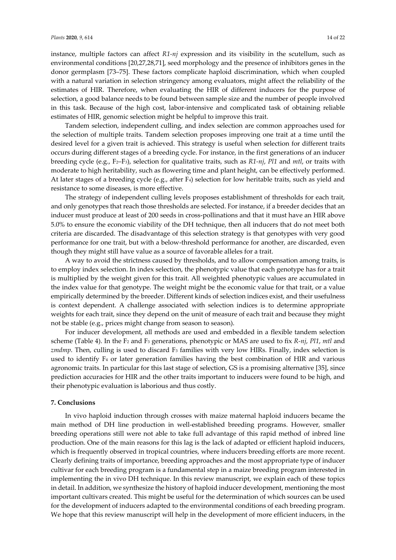instance, multiple factors can affect *R1-nj* expression and its visibility in the scutellum, such as environmental conditions [20,27,28,71], seed morphology and the presence of inhibitors genes in the donor germplasm [73–75]. These factors complicate haploid discrimination, which when coupled with a natural variation in selection stringency among evaluators, might affect the reliability of the estimates of HIR. Therefore, when evaluating the HIR of different inducers for the purpose of selection, a good balance needs to be found between sample size and the number of people involved in this task. Because of the high cost, labor-intensive and complicated task of obtaining reliable estimates of HIR, genomic selection might be helpful to improve this trait.

Tandem selection, independent culling, and index selection are common approaches used for the selection of multiple traits. Tandem selection proposes improving one trait at a time until the desired level for a given trait is achieved. This strategy is useful when selection for different traits occurs during different stages of a breeding cycle. For instance, in the first generations of an inducer breeding cycle (e.g., F2–F3), selection for qualitative traits, such as *R1-nj*, *Pl1* and *mtl*, or traits with moderate to high heritability, such as flowering time and plant height, can be effectively performed. At later stages of a breeding cycle (e.g., after F4) selection for low heritable traits, such as yield and resistance to some diseases, is more effective.

The strategy of independent culling levels proposes establishment of thresholds for each trait, and only genotypes that reach those thresholds are selected. For instance, if a breeder decides that an inducer must produce at least of 200 seeds in cross-pollinations and that it must have an HIR above 5.0% to ensure the economic viability of the DH technique, then all inducers that do not meet both criteria are discarded. The disadvantage of this selection strategy is that genotypes with very good performance for one trait, but with a below-threshold performance for another, are discarded, even though they might still have value as a source of favorable alleles for a trait.

A way to avoid the strictness caused by thresholds, and to allow compensation among traits, is to employ index selection. In index selection, the phenotypic value that each genotype has for a trait is multiplied by the weight given for this trait. All weighted phenotypic values are accumulated in the index value for that genotype. The weight might be the economic value for that trait, or a value empirically determined by the breeder. Different kinds of selection indices exist, and their usefulness is context dependent. A challenge associated with selection indices is to determine appropriate weights for each trait, since they depend on the unit of measure of each trait and because they might not be stable (e.g., prices might change from season to season).

For inducer development, all methods are used and embedded in a flexible tandem selection scheme (Table 4). In the F<sup>2</sup> and F<sup>3</sup> generations, phenotypic or MAS are used to fix *R-nj*, *Pl1*, *mtl* and zmdmp. Then, culling is used to discard F<sub>3</sub> families with very low HIRs. Finally, index selection is used to identify F<sup>4</sup> or later generation families having the best combination of HIR and various agronomic traits. In particular for this last stage of selection, GS is a promising alternative [35], since prediction accuracies for HIR and the other traits important to inducers were found to be high, and their phenotypic evaluation is laborious and thus costly.

#### **7. Conclusions**

In vivo haploid induction through crosses with maize maternal haploid inducers became the main method of DH line production in well-established breeding programs. However, smaller breeding operations still were not able to take full advantage of this rapid method of inbred line production. One of the main reasons for this lag is the lack of adapted or efficient haploid inducers, which is frequently observed in tropical countries, where inducers breeding efforts are more recent. Clearly defining traits of importance, breeding approaches and the most appropriate type of inducer cultivar for each breeding program is a fundamental step in a maize breeding program interested in implementing the in vivo DH technique. In this review manuscript, we explain each of these topics in detail. In addition, we synthesize the history of haploid inducer development, mentioning the most important cultivars created. This might be useful for the determination of which sources can be used for the development of inducers adapted to the environmental conditions of each breeding program. We hope that this review manuscript will help in the development of more efficient inducers, in the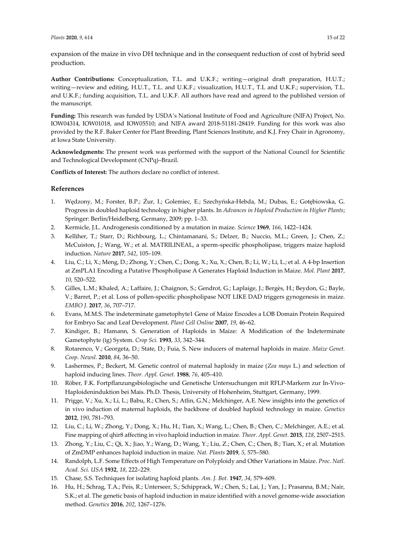expansion of the maize in vivo DH technique and in the consequent reduction of cost of hybrid seed production.

**Author Contributions:** Conceptualization, T.L. and U.K.F.; writing—original draft preparation, H.U.T.; writing—review and editing, H.U.T., T.L. and U.K.F.; visualization, H.U.T., T.L and U.K.F.; supervision, T.L. and U.K.F.; funding acquisition, T.L. and U.K.F. All authors have read and agreed to the published version of the manuscript.

**Funding:** This research was funded by USDA's National Institute of Food and Agriculture (NIFA) Project, No. IOW04314, IOW01018, and IOW05510; and NIFA award 2018-51181-28419. Funding for this work was also provided by the R.F. Baker Center for Plant Breeding, Plant Sciences Institute, and K.J. Frey Chair in Agronomy, at Iowa State University.

**Acknowledgments:** The present work was performed with the support of the National Council for Scientific and Technological Development (CNPq)–Brazil.

**Conflicts of Interest:** The authors declare no conflict of interest.

# **References**

- 1. Wędzony, M.; Forster, B.P.; Żur, I.; Golemiec, E.; Szechyńska-Hebda, M.; Dubas, E.; Gotębiowska, G. Progress in doubled haploid technology in higher plants. In *Advances in Haploid Production in Higher Plants*; Springer: Berlin/Heidelberg, Germany, 2009; pp. 1–33.
- 2. Kermicle, J.L. Androgenesis conditioned by a mutation in maize. *Science* **1969**, *166*, 1422–1424.
- 3. Kelliher, T.; Starr, D.; Richbourg, L.; Chintamanani, S.; Delzer, B.; Nuccio, M.L.; Green, J.; Chen, Z.; McCuiston, J.; Wang, W.; et al. MATRILINEAL, a sperm-specific phospholipase, triggers maize haploid induction. *Nature* **2017**, *542*, 105–109.
- 4. Liu, C.; Li, X.; Meng, D.; Zhong, Y.; Chen, C.; Dong, X.; Xu, X.; Chen, B.; Li, W.; Li, L.; et al. A 4-bp Insertion at ZmPLA1 Encoding a Putative Phospholipase A Generates Haploid Induction in Maize. *Mol. Plant* **2017**, *10*, 520–522.
- 5. Gilles, L.M.; Khaled, A.; Laffaire, J.; Chaignon, S.; Gendrot, G.; Laplaige, J.; Bergès, H.; Beydon, G.; Bayle, V.; Barret, P.; et al. Loss of pollen-specific phospholipase NOT LIKE DAD triggers gynogenesis in maize. *EMBO J.* **2017**, *36*, 707–717.
- 6. Evans, M.M.S. The indeterminate gametophyte1 Gene of Maize Encodes a LOB Domain Protein Required for Embryo Sac and Leaf Development. *Plant Cell Online* **2007**, *19*, 46–62.
- 7. Kindiger, B.; Hamann, S. Generation of Haploids in Maize: A Modification of the Indeterminate Gametophyte (ig) System. *Crop Sci.* **1993**, *33*, 342–344.
- 8. Rotarenco, V.; Georgeta, D.; State, D.; Fuia, S. New inducers of maternal haploids in maize. *Maize Genet. Coop. Newsl.* **2010**, *84*, 36–50.
- 9. Lashermes, P.; Beckert, M. Genetic control of maternal haploidy in maize (*Zea mays* L.) and selection of haploid inducing lines. *Theor. Appl. Genet.* **1988**, *76*, 405–410.
- 10. Röber, F.K. Fortpflanzungsbiologische und Genetische Untersuchungen mit RFLP-Markern zur In-Vivo-Haploideninduktion bei Mais. Ph.D. Thesis, University of Hohenheim, Stuttgart, Germany, 1999.
- 11. Prigge, V.; Xu, X.; Li, L.; Babu, R.; Chen, S.; Atlin, G.N.; Melchinger, A.E. New insights into the genetics of in vivo induction of maternal haploids, the backbone of doubled haploid technology in maize. *Genetics* **2012**, *190*, 781–793.
- 12. Liu, C.; Li, W.; Zhong, Y.; Dong, X.; Hu, H.; Tian, X.; Wang, L.; Chen, B.; Chen, C.; Melchinger, A.E.; et al. Fine mapping of qhir8 affecting in vivo haploid induction in maize. *Theor. Appl. Genet.* **2015**, *128*, 2507–2515.
- 13. Zhong, Y.; Liu, C.; Qi, X.; Jiao, Y.; Wang, D.; Wang, Y.; Liu, Z.; Chen, C.; Chen, B.; Tian, X.; et al. Mutation of ZmDMP enhances haploid induction in maize. *Nat. Plants* **2019**, *5*, 575–580.
- 14. Randolph, L.F. Some Effects of High Temperature on Polyploidy and Other Variations in Maize. *Proc. Natl. Acad. Sci. USA* **1932**, *18*, 222–229.
- 15. Chase, S.S. Techniques for isolating haploid plants. *Am. J. Bot.* **1947**, *34*, 579–609.
- 16. Hu, H.; Schrag, T.A.; Peis, R.; Unterseer, S.; Schipprack, W.; Chen, S.; Lai, J.; Yan, J.; Prasanna, B.M.; Nair, S.K.; et al. The genetic basis of haploid induction in maize identified with a novel genome-wide association method. *Genetics* **2016**, *202*, 1267–1276.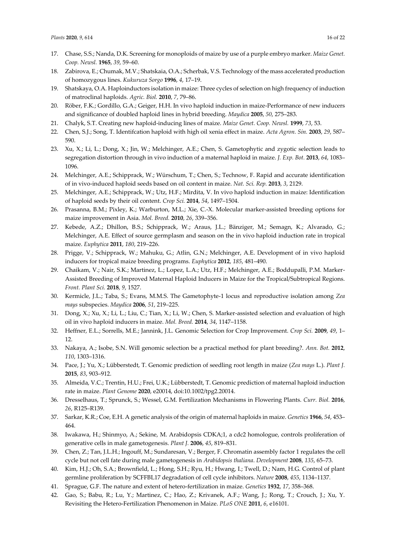- 17. Chase, S.S.; Nanda, D.K. Screening for monoploids of maize by use of a purple embryo marker. *Maize Genet. Coop. Newsl.* **1965**, *39*, 59–60.
- 18. Zabirova, E.; Chumak, M.V.; Shatskaia, O.A.; Scherbak, V.S. Technology of the mass accelerated production of homozygous lines. *Kukuruza Sorgo* **1996**, *4*, 17–19.
- 19. Shatskaya, O.A. Haploinductors isolation in maize: Three cycles of selection on high frequency of induction of matroclinal haploids. *Agric. Biol.* **2010**, *7*, 79–86.
- 20. Röber, F.K.; Gordillo, G.A.; Geiger, H.H. In vivo haploid induction in maize-Performance of new inducers and significance of doubled haploid lines in hybrid breeding. *Maydica* **2005**, *50*, 275–283.
- 21. Chalyk, S.T. Creating new haploid-inducing lines of maize. *Maize Genet. Coop. Newsl.* **1999**, *73*, 53.
- 22. Chen, S.J.; Song, T. Identifcation haploid with high oil xenia effect in maize. *Acta Agron. Sin.* **2003**, *29*, 587– 590.
- 23. Xu, X.; Li, L.; Dong, X.; Jin, W.; Melchinger, A.E.; Chen, S. Gametophytic and zygotic selection leads to segregation distortion through in vivo induction of a maternal haploid in maize. *J. Exp. Bot.* **2013**, *64*, 1083– 1096.
- 24. Melchinger, A.E.; Schipprack, W.; Würschum, T.; Chen, S.; Technow, F. Rapid and accurate identification of in vivo-induced haploid seeds based on oil content in maize. *Nat. Sci. Rep.* **2013**, *3*, 2129.
- 25. Melchinger, A.E.; Schipprack, W.; Utz, H.F.; Mirdita, V. In vivo haploid induction in maize: Identification of haploid seeds by their oil content. *Crop Sci.* **2014**, *54*, 1497–1504.
- 26. Prasanna, B.M.; Pixley, K.; Warburton, M.L.; Xie, C.-X. Molecular marker-assisted breeding options for maize improvement in Asia. *Mol. Breed.* **2010**, *26*, 339–356.
- 27. Kebede, A.Z.; Dhillon, B.S.; Schipprack, W.; Araus, J.L.; Bänziger, M.; Semagn, K.; Alvarado, G.; Melchinger, A.E. Effect of source germplasm and season on the in vivo haploid induction rate in tropical maize. *Euphytica* **2011**, *180*, 219–226.
- 28. Prigge, V.; Schipprack, W.; Mahuku, G.; Atlin, G.N.; Melchinger, A.E. Development of in vivo haploid inducers for tropical maize breeding programs. *Euphytica* **2012**, *185*, 481–490.
- 29. Chaikam, V.; Nair, S.K.; Martinez, L.; Lopez, L.A.; Utz, H.F.; Melchinger, A.E.; Boddupalli, P.M. Marker-Assisted Breeding of Improved Maternal Haploid Inducers in Maize for the Tropical/Subtropical Regions. *Front. Plant Sci.* **2018**, *9*, 1527.
- 30. Kermicle, J.L.; Taba, S.; Evans, M.M.S. The Gametophyte-1 locus and reproductive isolation among *Zea mays* subspecies. *Maydica* **2006**, *51*, 219–225.
- 31. Dong, X.; Xu, X.; Li, L.; Liu, C.; Tian, X.; Li, W.; Chen, S. Marker-assisted selection and evaluation of high oil in vivo haploid inducers in maize. *Mol. Breed.* **2014**, *34*, 1147–1158.
- 32. Heffner, E.L.; Sorrells, M.E.; Jannink, J.L. Genomic Selection for Crop Improvement. *Crop Sci.* **2009**, *49*, 1– 12.
- 33. Nakaya, A.; Isobe, S.N. Will genomic selection be a practical method for plant breeding?. *Ann. Bot.* **2012**, *110*, 1303–1316.
- 34. Pace, J.; Yu, X.; Lübberstedt, T. Genomic prediction of seedling root length in maize (*Zea mays* L.). *Plant J.* **2015**, *83*, 903–912.
- 35. Almeida, V.C.; Trentin, H.U.; Frei, U.K.; Lübberstedt, T. Genomic prediction of maternal haploid induction rate in maize. *Plant Genome* **2020**, e20014, doi:10.1002/tpg2.20014.
- 36. Dresselhaus, T.; Sprunck, S.; Wessel, G.M. Fertilization Mechanisms in Flowering Plants. *Curr. Biol.* **2016**, *26*, R125–R139.
- 37. Sarkar, K.R.; Coe, E.H. A genetic analysis of the origin of maternal haploids in maize. *Genetics* **1966**, *54*, 453– 464.
- 38. Iwakawa, H.; Shinmyo, A.; Sekine, M. Arabidopsis CDKA;1, a cdc2 homologue, controls proliferation of generative cells in male gametogenesis. *Plant J.* **2006**, *45*, 819–831.
- 39. Chen, Z.; Tan, J.L.H.; Ingouff, M.; Sundaresan, V.; Berger, F. Chromatin assembly factor 1 regulates the cell cycle but not cell fate during male gametogenesis in *Arabidopsis thaliana*. *Development* **2008**, *135*, 65–73.
- 40. Kim, H.J.; Oh, S.A.; Brownfield, L.; Hong, S.H.; Ryu, H.; Hwang, I.; Twell, D.; Nam, H.G. Control of plant germline proliferation by SCFFBL17 degradation of cell cycle inhibitors. *Nature* **2008**, *455*, 1134–1137.
- 41. Sprague, G.F. The nature and extent of hetero-fertilization in maize. *Genetics* **1932**, *17*, 358–368.
- 42. Gao, S.; Babu, R.; Lu, Y.; Martinez, C.; Hao, Z.; Krivanek, A.F.; Wang, J.; Rong, T.; Crouch, J.; Xu, Y. Revisiting the Hetero-Fertilization Phenomenon in Maize. *PLoS ONE* **2011**, *6*, e16101.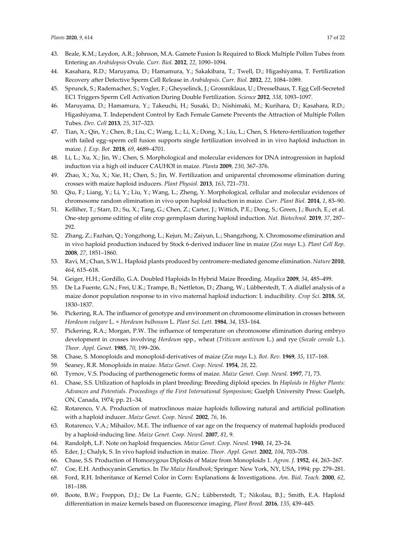- 43. Beale, K.M.; Leydon, A.R.; Johnson, M.A. Gamete Fusion Is Required to Block Multiple Pollen Tubes from Entering an *Arabidopsis* Ovule. *Curr. Biol.* **2012**, *22*, 1090–1094.
- 44. Kasahara, R.D.; Maruyama, D.; Hamamura, Y.; Sakakibara, T.; Twell, D.; Higashiyama, T. Fertilization Recovery after Defective Sperm Cell Release in *Arabidopsis*. *Curr. Biol.* **2012**, *22*, 1084–1089.
- 45. Sprunck, S.; Rademacher, S.; Vogler, F.; Gheyselinck, J.; Grossniklaus, U.; Dresselhaus, T. Egg Cell-Secreted EC1 Triggers Sperm Cell Activation During Double Fertilization. *Science* **2012**, *338*, 1093–1097.
- 46. Maruyama, D.; Hamamura, Y.; Takeuchi, H.; Susaki, D.; Nishimaki, M.; Kurihara, D.; Kasahara, R.D.; Higashiyama, T. Independent Control by Each Female Gamete Prevents the Attraction of Multiple Pollen Tubes. *Dev. Cell* **2013**, *25*, 317–323.
- 47. Tian, X.; Qin, Y.; Chen, B.; Liu, C.; Wang, L.; Li, X.; Dong, X.; Liu, L.; Chen, S. Hetero-fertilization together with failed egg–sperm cell fusion supports single fertilization involved in in vivo haploid induction in maize. *J. Exp. Bot.* **2018**, *69*, 4689–4701.
- 48. Li, L.; Xu, X.; Jin, W.; Chen, S. Morphological and molecular evidences for DNA introgression in haploid induction via a high oil inducer CAUHOI in maize. *Planta* **2009**, *230*, 367–376.
- 49. Zhao, X.; Xu, X.; Xie, H.; Chen, S.; Jin, W. Fertilization and uniparental chromosome elimination during crosses with maize haploid inducers. *Plant Physiol.* **2013**, *163*, 721–731.
- 50. Qiu, F.; Liang, Y.; Li, Y.; Liu, Y.; Wang, L.; Zheng, Y. Morphological, cellular and molecular evidences of chromosome random elimination in vivo upon haploid induction in maize. *Curr. Plant Biol.* **2014**, *1*, 83–90.
- 51. Kelliher, T.; Starr, D.; Su, X.; Tang, G.; Chen, Z.; Carter, J.; Wittich, P.E.; Dong, S.; Green, J.; Burch, E.; et al. One-step genome editing of elite crop germplasm during haploid induction. *Nat. Biotechnol.* **2019**, *37*, 287– 292.
- 52. Zhang, Z.; Fazhan, Q.; Yongzhong, L.; Kejun, M.; Zaiyun, L.; Shangzhong, X. Chromosome elimination and in vivo haploid production induced by Stock 6-derived inducer line in maize (*Zea mays* L.). *Plant Cell Rep.* **2008**, *27*, 1851–1860.
- 53. Ravi, M.; Chan, S.W.L. Haploid plants produced by centromere-mediated genome elimination. *Nature* **2010**, *464*, 615–618.
- 54. Geiger, H.H.; Gordillo, G.A. Doubled Haploids In Hybrid Maize Breeding. *Maydica* **2009**, *54*, 485–499.
- 55. De La Fuente, G.N.; Frei, U.K.; Trampe, B.; Nettleton, D.; Zhang, W.; Lübberstedt, T. A diallel analysis of a maize donor population response to in vivo maternal haploid induction: I. inducibility. *Crop Sci.* **2018**, *58*, 1830–1837.
- 56. Pickering, R.A. The influence of genotype and environment on chromosome elimination in crosses between *Hordeum vulgare* L. × *Hordeum bulbosum* L. *Plant Sci. Lett.* **1984**, *34*, 153–164.
- 57. Pickering, R.A.; Morgan, P.W. The influence of temperature on chromosome elimination during embryo development in crosses involving *Hordeum* spp., wheat (*Triticum aestivum* L.) and rye (*Secale cereale* L.). *Theor. Appl. Genet.* **1985**, *70*, 199–206.
- 58. Chase, S. Monoploids and monoploid-derivatives of maize (*Zea mays* L.). *Bot. Rev.* **1969**, *35*, 117–168.
- 59. Seaney, R.R. Monoploids in maize. *Maize Genet. Coop. Newsl.* **1954**, *28*, 22.
- 60. Tyrnov, V.S. Producing of parthenogenetic forms of maize. *Maize Genet. Coop. Newsl.* **1997**, *71*, 73.
- 61. Chase, S.S. Utilization of haploids in plant breeding: Breeding diploid species. In *Haploids in Higher Plants: Advances and Potentials. Proceedings of the First International Symposium*; Guelph University Press: Guelph, ON, Canada, 1974; pp. 21–34.
- 62. Rotarenco, V.A. Production of matroclinous maize haploids following natural and artificial pollination with a haploid inducer. *Maize Genet. Coop. Newsl.* **2002**, *76*, 16.
- 63. Rotarenco, V.A.; Mihailov, M.E. The influence of ear age on the frequency of matemal haploids produced by a haploid-inducing line. *Maize Genet. Coop. Newsl.* **2007**, *81*, 9.
- 64. Randolph, L.F. Note on haploid frequencies. *Maize Genet. Coop. Newsl.* **1940**, *14*, 23–24.
- 65. Eder, J.; Chalyk, S. In vivo haploid induction in maize. *Theor. Appl. Genet.* **2002**, *104*, 703–708.
- 66. Chase, S.S. Production of Homozygous Diploids of Maize from Monoploids 1. *Agron. J.* **1952**, *44*, 263–267.
- 67. Coe, E.H. Anthocyanin Genetics. In *The Maize Handbook*; Springer: New York, NY, USA, 1994; pp. 279–281.
- 68. Ford, R.H. Inheritance of Kernel Color in Corn: Explanations & Investigations. *Am. Biol. Teach.* **2000**, *62*, 181–188.
- 69. Boote, B.W.; Freppon, D.J.; De La Fuente, G.N.; Lübberstedt, T.; Nikolau, B.J.; Smith, E.A. Haploid differentiation in maize kernels based on fluorescence imaging. *Plant Breed.* **2016**, *135*, 439–445.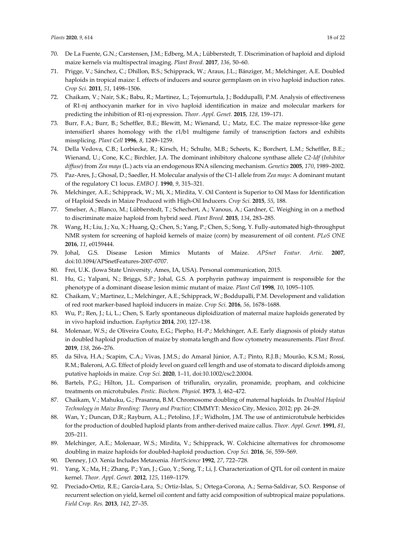- 70. De La Fuente, G.N.; Carstensen, J.M.; Edberg, M.A.; Lübberstedt, T. Discrimination of haploid and diploid maize kernels via multispectral imaging. *Plant Breed.* **2017**, *136*, 50–60.
- 71. Prigge, V.; Sánchez, C.; Dhillon, B.S.; Schipprack, W.; Araus, J.L.; Bänziger, M.; Melchinger, A.E. Doubled haploids in tropical maize: I. effects of inducers and source germplasm on in vivo haploid induction rates. *Crop Sci.* **2011**, *51*, 1498–1506.
- 72. Chaikam, V.; Nair, S.K.; Babu, R.; Martinez, L.; Tejomurtula, J.; Boddupalli, P.M. Analysis of effectiveness of R1-nj anthocyanin marker for in vivo haploid identification in maize and molecular markers for predicting the inhibition of R1-nj expression. *Theor. Appl. Genet.* **2015**, *128*, 159–171.
- 73. Burr, F.A.; Burr, B.; Scheffler, B.E.; Blewitt, M.; Wienand, U.; Matz, E.C. The maize repressor-like gene intensifier1 shares homology with the r1/b1 multigene family of transcription factors and exhibits missplicing. *Plant Cell* **1996**, *8*, 1249–1259.
- 74. Della Vedova, C.B.; Lorbiecke, R.; Kirsch, H.; Schulte, M.B.; Scheets, K.; Borchert, L.M.; Scheffler, B.E.; Wienand, U.; Cone, K.C.; Birchler, J.A. The dominant inhibitory chalcone synthase allele *C2-Idf* (*Inhibitor diffuse*) from *Zea mays* (L.) acts via an endogenous RNA silencing mechanism. *Genetics* **2005**, *170*, 1989–2002.
- 75. Paz-Ares, J.; Ghosal, D.; Saedler, H. Molecular analysis of the C1-I allele from *Zea mays*: A dominant mutant of the regulatory C1 locus. *EMBO J.* **1990**, *9*, 315–321.
- 76. Melchinger, A.E.; Schipprack, W.; Mi, X.; Mirdita, V. Oil Content is Superior to Oil Mass for Identification of Haploid Seeds in Maize Produced with High-Oil Inducers. *Crop Sci.* **2015**, *55*, 188.
- 77. Smelser, A.; Blanco, M.; Lübberstedt, T.; Schechert, A.; Vanous, A.; Gardner, C. Weighing in on a method to discriminate maize haploid from hybrid seed. *Plant Breed.* **2015**, *134*, 283–285.
- 78. Wang, H.; Liu, J.; Xu, X.; Huang, Q.; Chen, S.; Yang, P.; Chen, S.; Song, Y. Fully-automated high-throughput NMR system for screening of haploid kernels of maize (corn) by measurement of oil content. *PLoS ONE* **2016**, *11*, e0159444.
- 79. Johal, G.S. Disease Lesion Mimics Mutants of Maize. *APSnet Featur. Artic.* **2007**, doi:10.1094/APSnetFeatures-2007-0707.
- 80. Frei, U.K. (Iowa State University, Ames, IA, USA). Personal communication, 2015.
- 81. Hu, G.; Yalpani, N.; Briggs, S.P.; Johal, G.S. A porphyrin pathway impairment is responsible for the phenotype of a dominant disease lesion mimic mutant of maize. *Plant Cell* **1998**, *10*, 1095–1105.
- 82. Chaikam, V.; Martinez, L.; Melchinger, A.E.; Schipprack, W.; Boddupalli, P.M. Development and validation of red root marker-based haploid inducers in maize. *Crop Sci.* **2016**, *56*, 1678–1688.
- 83. Wu, P.; Ren, J.; Li, L.; Chen, S. Early spontaneous diploidization of maternal maize haploids generated by in vivo haploid induction. *Euphytica* **2014**, *200*, 127–138.
- 84. Molenaar, W.S.; de Oliveira Couto, E.G.; Piepho, H.-P.; Melchinger, A.E. Early diagnosis of ploidy status in doubled haploid production of maize by stomata length and flow cytometry measurements. *Plant Breed.* **2019**, *138*, 266–276.
- 85. da Silva, H.A.; Scapim, C.A.; Vivas, J.M.S.; do Amaral Júnior, A.T.; Pinto, R.J.B.; Mourão, K.S.M.; Rossi, R.M.; Baleroni, A.G. Effect of ploidy level on guard cell length and use of stomata to discard diploids among putative haploids in maize. *Crop Sci.* **2020**, 1–11, doi:10.1002/csc2.20004.
- 86. Bartels, P.G.; Hilton, J.L. Comparison of trifluralin, oryzalin, pronamide, propham, and colchicine treatments on microtubules. *Pestic. Biochem. Physiol.* **1973**, *3*, 462–472.
- 87. Chaikam, V.; Mahuku, G.; Prasanna, B.M. Chromosome doubling of maternal haploids. In *Doubled Haploid Technology in Maize Breeding: Theory and Practice*; CIMMYT: Mexico City, Mexico, 2012; pp. 24–29.
- 88. Wan, Y.; Duncan, D.R.; Rayburn, A.L.; Petolino, J.F.; Widholm, J.M. The use of antimicrotubule herbicides for the production of doubled haploid plants from anther-derived maize callus. *Theor. Appl. Genet.* **1991**, *81*, 205–211.
- 89. Melchinger, A.E.; Molenaar, W.S.; Mirdita, V.; Schipprack, W. Colchicine alternatives for chromosome doubling in maize haploids for doubled-haploid production. *Crop Sci.* **2016**, *56*, 559–569.
- 90. Denney, J.O. Xenia Includes Metaxenia. *HortScience* **1992**, *27*, 722–728.
- 91. Yang, X.; Ma, H.; Zhang, P.; Yan, J.; Guo, Y.; Song, T.; Li, J. Characterization of QTL for oil content in maize kernel. *Theor. Appl. Genet.* **2012**, *125*, 1169–1179.
- 92. Preciado-Ortiz, R.E.; García-Lara, S.; Ortiz-Islas, S.; Ortega-Corona, A.; Serna-Saldivar, S.O. Response of recurrent selection on yield, kernel oil content and fatty acid composition of subtropical maize populations. *Field Crop. Res.* **2013**, *142*, 27–35.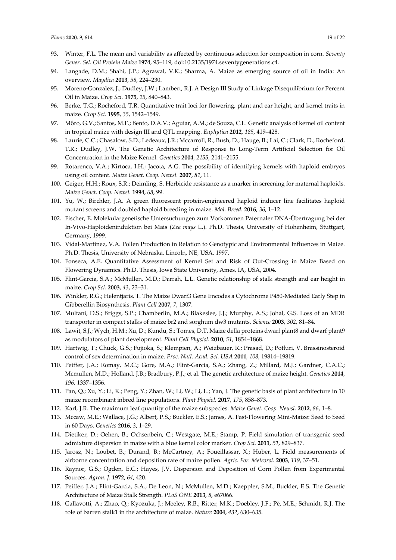- 93. Winter, F.L. The mean and variability as affected by continuous selection for composition in corn. *Seventy Gener. Sel. Oil Protein Maize* **1974**, 95–119, doi:10.2135/1974.seventygenerations.c4.
- 94. Langade, D.M.; Shahi, J.P.; Agrawal, V.K.; Sharma, A. Maize as emerging source of oil in India: An overview. *Maydica* **2013**, *58*, 224–230.
- 95. Moreno-Gonzalez, J.; Dudley, J.W.; Lambert, R.J. A Design III Study of Linkage Disequilibrium for Percent Oil in Maize. *Crop Sci.* **1975**, *15*, 840–843.
- 96. Berke, T.G.; Rocheford, T.R. Quantitative trait loci for flowering, plant and ear height, and kernel traits in maize. *Crop Sci.* **1995**, *35*, 1542–1549.
- 97. Môro, G.V.; Santos, M.F.; Bento, D.A.V.; Aguiar, A.M.; de Souza, C.L. Genetic analysis of kernel oil content in tropical maize with design III and QTL mapping. *Euphytica* **2012**, *185*, 419–428.
- 98. Laurie, C.C.; Chasalow, S.D.; Ledeaux, J.R.; Mccarroll, R.; Bush, D.; Hauge, B.; Lai, C.; Clark, D.; Rocheford, T.R.; Dudley, J.W. The Genetic Architecture of Response to Long-Term Artificial Selection for Oil Concentration in the Maize Kernel. *Genetics* **2004**, *2155*, 2141–2155.
- 99. Rotarenco, V.A.; Kirtoca, I.H.; Jacota, A.G. The possibility of identifying kernels with haploid embryos using oil content. *Maize Genet. Coop. Newsl.* **2007**, *81*, 11.
- 100. Geiger, H.H.; Roux, S.R.; Deimling, S. Herbicide resistance as a marker in screening for maternal haploids. *Maize Genet. Coop. Newsl.* **1994**, *68*, 99.
- 101. Yu, W.; Birchler, J.A. A green fluorescent protein-engineered haploid inducer line facilitates haploid mutant screens and doubled haploid breeding in maize. *Mol. Breed.* **2016**, *36*, 1–12.
- 102. Fischer, E. Molekulargenetische Untersuchungen zum Vorkommen Paternaler DNA-Ü bertragung bei der In-Vivo-Haploideninduktion bei Mais (*Zea mays* L.). Ph.D. Thesis, University of Hohenheim, Stuttgart, Germany, 1999.
- 103. Vidal-Martinez, V.A. Pollen Production in Relation to Genotypic and Environmental Influences in Maize. Ph.D. Thesis, University of Nebraska, Lincoln, NE, USA, 1997.
- 104. Fonseca, A.E. Quantitative Assessment of Kernel Set and Risk of Out-Crossing in Maize Based on Flowering Dynamics. Ph.D. Thesis, Iowa State University, Ames, IA, USA, 2004.
- 105. Flint-Garcia, S.A.; McMullen, M.D.; Darrah, L.L. Genetic relationship of stalk strength and ear height in maize. *Crop Sci.* **2003**, *43*, 23–31.
- 106. Winkler, R.G.; Helentjaris, T. The Maize Dwarf3 Gene Encodes a Cytochrome P450-Mediated Early Step in Gibberellin Biosynthesis. *Plant Cell* **2007**, *7*, 1307.
- 107. Multani, D.S.; Briggs, S.P.; Chamberlin, M.A.; Blakeslee, J.J.; Murphy, A.S.; Johal, G.S. Loss of an MDR transporter in compact stalks of maize br2 and sorghum dw3 mutants. *Science* **2003**, *302*, 81–84.
- 108. Lawit, S.J.; Wych, H.M.; Xu, D.; Kundu, S.; Tomes, D.T. Maize della proteins dwarf plant8 and dwarf plant9 as modulators of plant development. *Plant Cell Physiol.* **2010**, *51*, 1854–1868.
- 109. Hartwig, T.; Chuck, G.S.; Fujioka, S.; Klempien, A.; Weizbauer, R.; Prasad, D.; Potluri, V. Brassinosteroid control of sex determination in maize. *Proc. Natl. Acad. Sci. USA* **2011**, *108*, 19814–19819.
- 110. Peiffer, J.A.; Romay, M.C.; Gore, M.A.; Flint-Garcia, S.A.; Zhang, Z.; Millard, M.J.; Gardner, C.A.C.; Mcmullen, M.D.; Holland, J.B.; Bradbury, P.J.; et al. The genetic architecture of maize height. *Genetics* **2014**, *196*, 1337–1356.
- 111. Pan, Q.; Xu, Y.; Li, K.; Peng, Y.; Zhan, W.; Li, W.; Li, L.; Yan, J. The genetic basis of plant architecture in 10 maize recombinant inbred line populations. *Plant Physiol.* **2017**, *175*, 858–873.
- 112. Karl, J.R. The maximum leaf quantity of the maize subspecies. *Maize Genet. Coop. Newsl.* **2012**, *86*, 1–8.
- 113. Mccaw, M.E.; Wallace, J.G.; Albert, P.S.; Buckler, E.S.; James, A. Fast-Flowering Mini-Maize: Seed to Seed in 60 Days. *Genetics* **2016**, *3*, 1–29.
- 114. Dietiker, D.; Oehen, B.; Ochsenbein, C.; Westgate, M.E.; Stamp, P. Field simulation of transgenic seed admixture dispersion in maize with a blue kernel color marker. *Crop Sci.* **2011**, *51*, 829–837.
- 115. Jarosz, N.; Loubet, B.; Durand, B.; McCartney, A.; Foueillassar, X.; Huber, L. Field measurements of airborne concentration and deposition rate of maize pollen. *Agric. For. Meteorol.* **2003**, *119*, 37–51.
- 116. Raynor, G.S.; Ogden, E.C.; Hayes, J.V. Dispersion and Deposition of Corn Pollen from Experimental Sources. *Agron. J.* **1972**, *64*, 420.
- 117. Peiffer, J.A.; Flint-Garcia, S.A.; De Leon, N.; McMullen, M.D.; Kaeppler, S.M.; Buckler, E.S. The Genetic Architecture of Maize Stalk Strength. *PLoS ONE* **2013**, *8*, e67066.
- 118. Gallavotti, A.; Zhao, Q.; Kyozuka, J.; Meeley, R.B.; Ritter, M.K.; Doebley, J.F.; Pè, M.E.; Schmidt, R.J. The role of barren stalk1 in the architecture of maize. *Nature* **2004**, *432*, 630–635.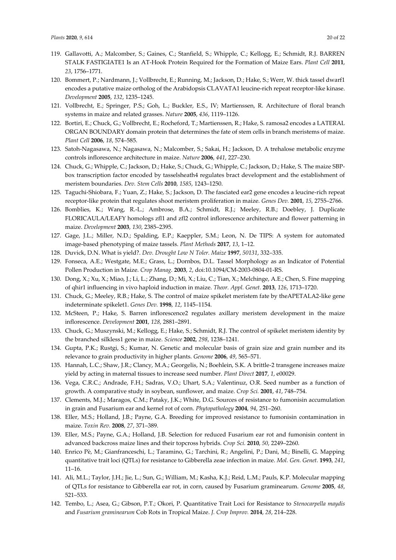- 119. Gallavotti, A.; Malcomber, S.; Gaines, C.; Stanfield, S.; Whipple, C.; Kellogg, E.; Schmidt, R.J. BARREN STALK FASTIGIATE1 Is an AT-Hook Protein Required for the Formation of Maize Ears. *Plant Cell* **2011**, *23*, 1756–1771.
- 120. Bommert, P.; Nardmann, J.; Vollbrecht, E.; Running, M.; Jackson, D.; Hake, S.; Werr, W. thick tassel dwarf1 encodes a putative maize ortholog of the Arabidopsis CLAVATA1 leucine-rich repeat receptor-like kinase. *Development* **2005**, *132*, 1235–1245.
- 121. Vollbrecht, E.; Springer, P.S.; Goh, L.; Buckler, E.S., IV; Martienssen, R. Architecture of floral branch systems in maize and related grasses. *Nature* **2005**, *436*, 1119–1126.
- 122. Bortiri, E.; Chuck, G.; Vollbrecht, E.; Rocheford, T.; Martienssen, R.; Hake, S. ramosa2 encodes a LATERAL ORGAN BOUNDARY domain protein that determines the fate of stem cells in branch meristems of maize. *Plant Cell* **2006**, *18*, 574–585.
- 123. Satoh-Nagasawa, N.; Nagasawa, N.; Malcomber, S.; Sakai, H.; Jackson, D. A trehalose metabolic enzyme controls inflorescence architecture in maize. *Nature* **2006**, *441*, 227–230.
- 124. Chuck, G.; Whipple, C.; Jackson, D.; Hake, S.; Chuck, G.; Whipple, C.; Jackson, D.; Hake, S. The maize SBPbox transcription factor encoded by tasselsheath4 regulates bract development and the establishment of meristem boundaries. *Dev. Stem Cells* **2010**, *1585*, 1243–1250.
- 125. Taguchi-Shiobara, F.; Yuan, Z.; Hake, S.; Jackson, D. The fasciated ear2 gene encodes a leucine-rich repeat receptor-like protein that regulates shoot meristem proliferation in maize. *Genes Dev.* **2001**, *15*, 2755–2766.
- 126. Bomblies, K.; Wang, R.-L.; Ambrose, B.A.; Schmidt, R.J.; Meeley, R.B.; Doebley, J. Duplicate FLORICAULA/LEAFY homologs zfl1 and zfl2 control inflorescence architecture and flower patterning in maize. *Development* **2003**, *130*, 2385–2395.
- 127. Gage, J.L.; Miller, N.D.; Spalding, E.P.; Kaeppler, S.M.; Leon, N. De TIPS: A system for automated image‐based phenotyping of maize tassels. *Plant Methods* **2017**, *13*, 1–12.
- 128. Duvick, D.N. What is yield?. *Dev. Drought Low N Toler. Maize* **1997**, *50131*, 332–335.
- 129. Fonseca, A.E.; Westgate, M.E.; Grass, L.; Dornbos, D.L. Tassel Morphology as an Indicator of Potential Pollen Production in Maize. *Crop Manag.* **2003**, *2*, doi:10.1094/CM-2003-0804-01-RS.
- 130. Dong, X.; Xu, X.; Miao, J.; Li, L.; Zhang, D.; Mi, X.; Liu, C.; Tian, X.; Melchinge, A.E.; Chen, S. Fine mapping of qhir1 influencing in vivo haploid induction in maize. *Theor. Appl. Genet.* **2013**, *126*, 1713–1720.
- 131. Chuck, G.; Meeley, R.B.; Hake, S. The control of maize spikelet meristem fate by theAPETALA2-like gene indeterminate spikelet1. *Genes Dev.* **1998**, *12*, 1145–1154.
- 132. McSteen, P.; Hake, S. Barren inflorescence2 regulates axillary meristem development in the maize inflorescence. *Development* **2001**, *128*, 2881–2891.
- 133. Chuck, G.; Muszynski, M.; Kellogg, E.; Hake, S.; Schmidt, R.J. The control of spikelet meristem identity by the branched silkless1 gene in maize. *Science* **2002**, *298*, 1238–1241.
- 134. Gupta, P.K.; Rustgi, S.; Kumar, N. Genetic and molecular basis of grain size and grain number and its relevance to grain productivity in higher plants. *Genome* **2006**, *49*, 565–571.
- 135. Hannah, L.C.; Shaw, J.R.; Clancy, M.A.; Georgelis, N.; Boehlein, S.K. A brittle-2 transgene increases maize yield by acting in maternal tissues to increase seed number. *Plant Direct* **2017**, *1*, e00029.
- 136. Vega, C.R.C.; Andrade, F.H.; Sadras, V.O.; Uhart, S.A.; Valentinuz, O.R. Seed number as a function of growth. A comparative study in soybean, sunflower, and maize. *Crop Sci.* **2001**, *41*, 748–754.
- 137. Clements, M.J.; Maragos, C.M.; Pataky, J.K.; White, D.G. Sources of resistance to fumonisin accumulation in grain and Fusarium ear and kernel rot of corn. *Phytopathology* **2004**, *94*, 251–260.
- 138. Eller, M.S.; Holland, J.B.; Payne, G.A. Breeding for improved resistance to fumonisin contamination in maize. *Toxin Rev.* **2008**, *27*, 371–389.
- 139. Eller, M.S.; Payne, G.A.; Holland, J.B. Selection for reduced Fusarium ear rot and fumonisin content in advanced backcross maize lines and their topcross hybrids. *Crop Sci.* **2010**, *50*, 2249–2260.
- 140. Enrico Pè, M.; Gianfranceschi, L.; Taramino, G.; Tarchini, R.; Angelini, P.; Dani, M.; Binelli, G. Mapping quantitative trait loci (QTLs) for resistance to Gibberella zeae infection in maize. *Mol. Gen. Genet.* **1993**, *241*, 11–16.
- 141. Ali, M.L.; Taylor, J.H.; Jie, L.; Sun, G.; William, M.; Kasha, K.J.; Reid, L.M.; Pauls, K.P. Molecular mapping of QTLs for resistance to Gibberella ear rot, in corn, caused by Fusarium graminearum. *Genome* **2005**, *48*, 521–533.
- 142. Tembo, L.; Asea, G.; Gibson, P.T.; Okori, P. Quantitative Trait Loci for Resistance to *Stenocarpella maydis* and *Fusarium graminearum* Cob Rots in Tropical Maize. *J. Crop Improv.* **2014**, *28*, 214–228.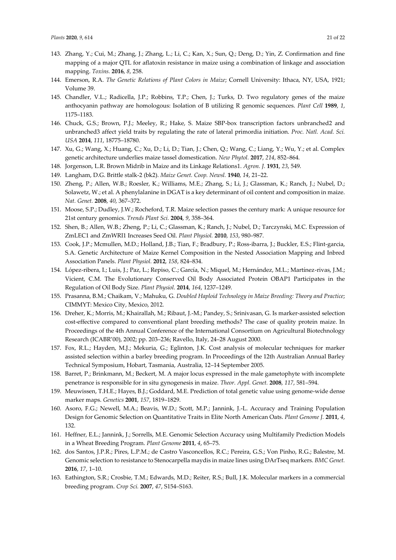- 143. Zhang, Y.; Cui, M.; Zhang, J.; Zhang, L.; Li, C.; Kan, X.; Sun, Q.; Deng, D.; Yin, Z. Confirmation and fine mapping of a major QTL for aflatoxin resistance in maize using a combination of linkage and association mapping. *Toxins.* **2016**, *8*, 258.
- 144. Emerson, R.A. *The Genetic Relations of Plant Colors in Maize*; Cornell University: Ithaca, NY, USA, 1921; Volume 39.
- 145. Chandler, V.L.; Radicella, J.P.; Robbins, T.P.; Chen, J.; Turks, D. Two regulatory genes of the maize anthocyanin pathway are homologous: Isolation of B utilizing R genomic sequences. *Plant Cell* **1989**, *1*, 1175–1183.
- 146. Chuck, G.S.; Brown, P.J.; Meeley, R.; Hake, S. Maize SBP-box transcription factors unbranched2 and unbranched3 affect yield traits by regulating the rate of lateral primordia initiation. *Proc. Natl. Acad. Sci. USA* **2014**, *111*, 18775–18780.
- 147. Xu, G.; Wang, X.; Huang, C.; Xu, D.; Li, D.; Tian, J.; Chen, Q.; Wang, C.; Liang, Y.; Wu, Y.; et al. Complex genetic architecture underlies maize tassel domestication. *New Phytol.* **2017**, *214*, 852–864.
- 148. Jorgenson, L.R. Brown Midrib in Maize and its Linkage Relations1. *Agron. J.* **1931**, *23*, 549.
- 149. Langham, D.G. Brittle stalk-2 (bk2). *Maize Genet. Coop. Newsl.* **1940**, *14*, 21–22.
- 150. Zheng, P.; Allen, W.B.; Roesler, K.; Williams, M.E.; Zhang, S.; Li, J.; Glassman, K.; Ranch, J.; Nubel, D.; Solawetz, W.; et al. A phenylalanine in DGAT is a key determinant of oil content and composition in maize. *Nat. Genet.* **2008**, *40*, 367–372.
- 151. Moose, S.P.; Dudley, J.W.; Rocheford, T.R. Maize selection passes the century mark: A unique resource for 21st century genomics. *Trends Plant Sci.* **2004**, *9*, 358–364.
- 152. Shen, B.; Allen, W.B.; Zheng, P.; Li, C.; Glassman, K.; Ranch, J.; Nubel, D.; Tarczynski, M.C. Expression of ZmLEC1 and ZmWRI1 Increases Seed Oil. *Plant Physiol.* **2010**, *153*, 980–987.
- 153. Cook, J.P.; Mcmullen, M.D.; Holland, J.B.; Tian, F.; Bradbury, P.; Ross-ibarra, J.; Buckler, E.S.; Flint-garcia, S.A. Genetic Architecture of Maize Kernel Composition in the Nested Association Mapping and Inbred Association Panels. *Plant Physiol.* **2012**, *158*, 824–834.
- 154. López-ribera, I.; Luis, J.; Paz, L.; Repiso, C.; García, N.; Miquel, M.; Hernández, M.L.; Martínez-rivas, J.M.; Vicient, C.M. The Evolutionary Conserved Oil Body Associated Protein OBAP1 Participates in the Regulation of Oil Body Size. *Plant Physiol.* **2014**, *164*, 1237–1249.
- 155. Prasanna, B.M.; Chaikam, V.; Mahuku, G. *Doubled Haploid Technology in Maize Breeding: Theory and Practice*; CIMMYT: Mexico City, Mexico, 2012.
- 156. Dreher, K.; Morris, M.; Khairallah, M.; Ribaut, J.-M.; Pandey, S.; Srinivasan, G. Is marker-assisted selection cost-effective compared to conventional plant breeding methods? The case of quality protein maize. In Proceedings of the 4th Annual Conference of the International Consortium on Agricultural Biotechnology Research (ICABR'00), 2002; pp. 203–236; Ravello, Italy, 24–28 August 2000.
- 157. Fox, R.L.; Hayden, M.J.; Mekuria, G.; Eglinton, J.K. Cost analysis of molecular techniques for marker assisted selection within a barley breeding program. In Proceedings of the 12th Australian Annual Barley Technical Symposium, Hobart, Tasmania, Australia, 12–14 September 2005.
- 158. Barret, P.; Brinkmann, M.; Beckert, M. A major locus expressed in the male gametophyte with incomplete penetrance is responsible for in situ gynogenesis in maize. *Theor. Appl. Genet.* **2008**, *117*, 581–594.
- 159. Meuwissen, T.H.E.; Hayes, B.J.; Goddard, M.E. Prediction of total genetic value using genome-wide dense marker maps. *Genetics* **2001**, *157*, 1819–1829.
- 160. Asoro, F.G.; Newell, M.A.; Beavis, W.D.; Scott, M.P.; Jannink, J.-L. Accuracy and Training Population Design for Genomic Selection on Quantitative Traits in Elite North American Oats. *Plant Genome J.* **2011**, *4*, 132.
- 161. Heffner, E.L.; Jannink, J.; Sorrells, M.E. Genomic Selection Accuracy using Multifamily Prediction Models in a Wheat Breeding Program. *Plant Genome* **2011**, *4*, 65–75.
- 162. dos Santos, J.P.R.; Pires, L.P.M.; de Castro Vasconcellos, R.C.; Pereira, G.S.; Von Pinho, R.G.; Balestre, M. Genomic selection to resistance to Stenocarpella maydis in maize lines using DArTseq markers. *BMC Genet.* **2016**, *17*, 1–10.
- 163. Eathington, S.R.; Crosbie, T.M.; Edwards, M.D.; Reiter, R.S.; Bull, J.K. Molecular markers in a commercial breeding program. *Crop Sci.* **2007**, *47*, S154–S163.